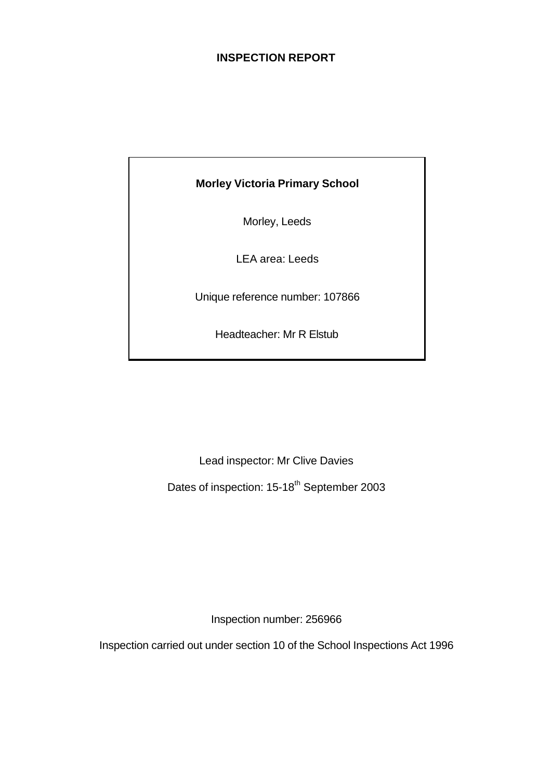# **INSPECTION REPORT**

# **Morley Victoria Primary School**

Morley, Leeds

LEA area: Leeds

Unique reference number: 107866

Headteacher: Mr R Elstub

Lead inspector: Mr Clive Davies

Dates of inspection: 15-18<sup>th</sup> September 2003

Inspection number: 256966

Inspection carried out under section 10 of the School Inspections Act 1996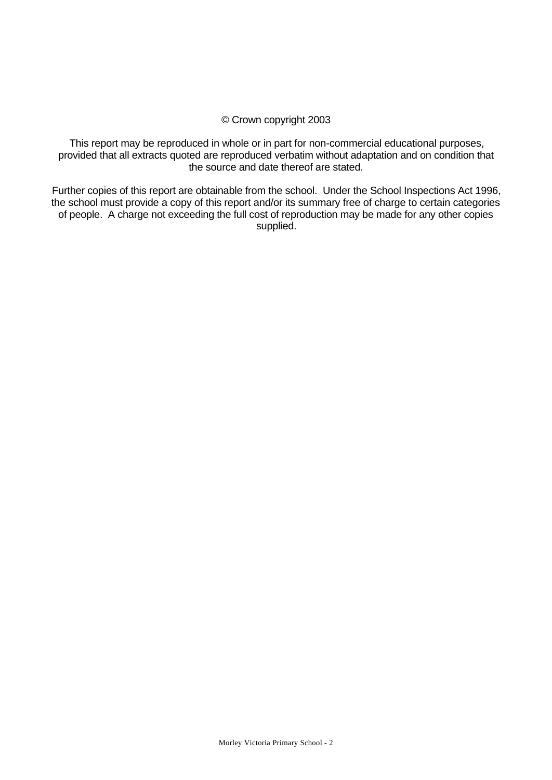## © Crown copyright 2003

This report may be reproduced in whole or in part for non-commercial educational purposes, provided that all extracts quoted are reproduced verbatim without adaptation and on condition that the source and date thereof are stated.

Further copies of this report are obtainable from the school. Under the School Inspections Act 1996, the school must provide a copy of this report and/or its summary free of charge to certain categories of people. A charge not exceeding the full cost of reproduction may be made for any other copies supplied.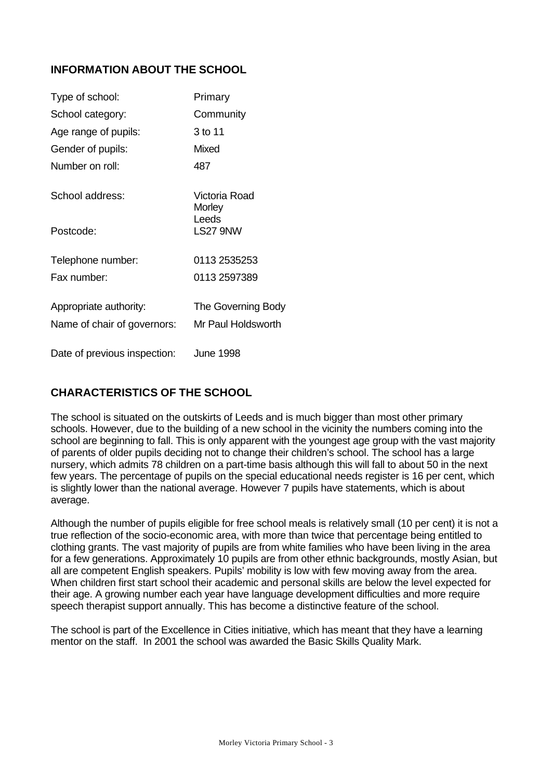# **INFORMATION ABOUT THE SCHOOL**

| Type of school:              | Primary                 |
|------------------------------|-------------------------|
| School category:             | Community               |
| Age range of pupils:         | 3 to 11                 |
| Gender of pupils:            | <b>Mixed</b>            |
| Number on roll:              | 487                     |
| School address:              | Victoria Road<br>Morley |
| Postcode:                    | Leeds<br>LS27 9NW       |
| Telephone number:            | 0113 2535253            |
| Fax number:                  | 0113 2597389            |
| Appropriate authority:       | The Governing Body      |
| Name of chair of governors:  | Mr Paul Holdsworth      |
| Date of previous inspection: | <b>June 1998</b>        |

# **CHARACTERISTICS OF THE SCHOOL**

The school is situated on the outskirts of Leeds and is much bigger than most other primary schools. However, due to the building of a new school in the vicinity the numbers coming into the school are beginning to fall. This is only apparent with the youngest age group with the vast majority of parents of older pupils deciding not to change their children's school. The school has a large nursery, which admits 78 children on a part-time basis although this will fall to about 50 in the next few years. The percentage of pupils on the special educational needs register is 16 per cent, which is slightly lower than the national average. However 7 pupils have statements, which is about average.

Although the number of pupils eligible for free school meals is relatively small (10 per cent) it is not a true reflection of the socio-economic area, with more than twice that percentage being entitled to clothing grants. The vast majority of pupils are from white families who have been living in the area for a few generations. Approximately 10 pupils are from other ethnic backgrounds, mostly Asian, but all are competent English speakers. Pupils' mobility is low with few moving away from the area. When children first start school their academic and personal skills are below the level expected for their age. A growing number each year have language development difficulties and more require speech therapist support annually. This has become a distinctive feature of the school.

The school is part of the Excellence in Cities initiative, which has meant that they have a learning mentor on the staff. In 2001 the school was awarded the Basic Skills Quality Mark.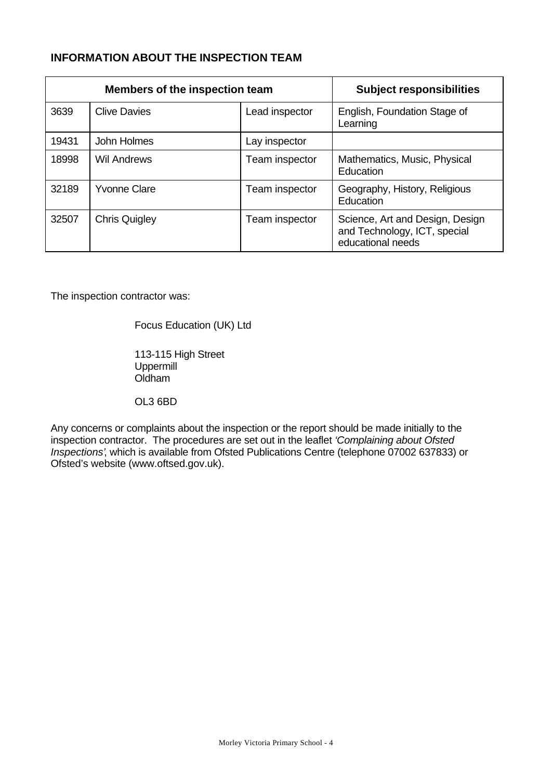# **INFORMATION ABOUT THE INSPECTION TEAM**

|       | Members of the inspection team | <b>Subject responsibilities</b> |                                                                                      |
|-------|--------------------------------|---------------------------------|--------------------------------------------------------------------------------------|
| 3639  | <b>Clive Davies</b>            | Lead inspector                  | English, Foundation Stage of<br>Learning                                             |
| 19431 | John Holmes                    | Lay inspector                   |                                                                                      |
| 18998 | <b>Wil Andrews</b>             | Team inspector                  | Mathematics, Music, Physical<br>Education                                            |
| 32189 | <b>Yvonne Clare</b>            | Team inspector                  | Geography, History, Religious<br>Education                                           |
| 32507 | <b>Chris Quigley</b>           | Team inspector                  | Science, Art and Design, Design<br>and Technology, ICT, special<br>educational needs |

The inspection contractor was:

Focus Education (UK) Ltd

113-115 High Street Uppermill Oldham

OL3 6BD

Any concerns or complaints about the inspection or the report should be made initially to the inspection contractor. The procedures are set out in the leaflet *'Complaining about Ofsted Inspections'*, which is available from Ofsted Publications Centre (telephone 07002 637833) or Ofsted's website (www.oftsed.gov.uk).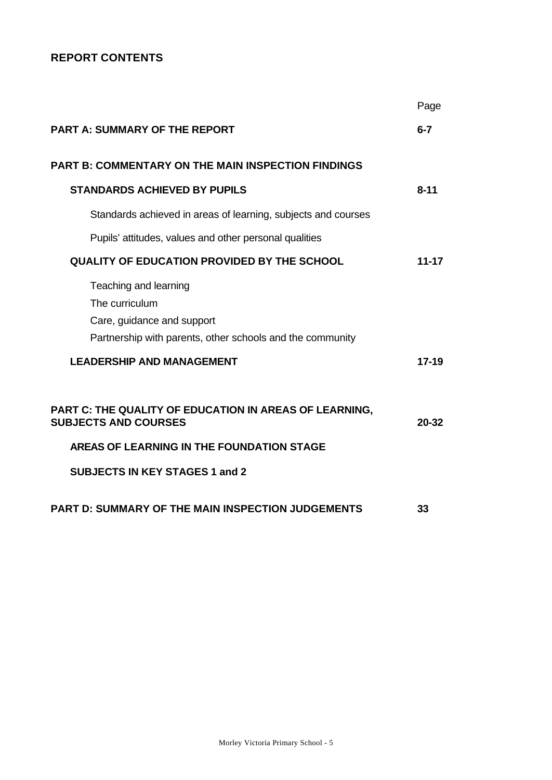# **REPORT CONTENTS**

|                                                                                                                                    | Page      |
|------------------------------------------------------------------------------------------------------------------------------------|-----------|
| <b>PART A: SUMMARY OF THE REPORT</b>                                                                                               | $6 - 7$   |
| <b>PART B: COMMENTARY ON THE MAIN INSPECTION FINDINGS</b>                                                                          |           |
| <b>STANDARDS ACHIEVED BY PUPILS</b>                                                                                                | $8 - 11$  |
| Standards achieved in areas of learning, subjects and courses                                                                      |           |
| Pupils' attitudes, values and other personal qualities                                                                             |           |
| <b>QUALITY OF EDUCATION PROVIDED BY THE SCHOOL</b>                                                                                 | $11 - 17$ |
| Teaching and learning<br>The curriculum<br>Care, guidance and support<br>Partnership with parents, other schools and the community |           |
| <b>LEADERSHIP AND MANAGEMENT</b>                                                                                                   | $17 - 19$ |
| PART C: THE QUALITY OF EDUCATION IN AREAS OF LEARNING,<br><b>SUBJECTS AND COURSES</b>                                              | 20-32     |
| AREAS OF LEARNING IN THE FOUNDATION STAGE                                                                                          |           |
| <b>SUBJECTS IN KEY STAGES 1 and 2</b>                                                                                              |           |
| <b>PART D: SUMMARY OF THE MAIN INSPECTION JUDGEMENTS</b>                                                                           | 33        |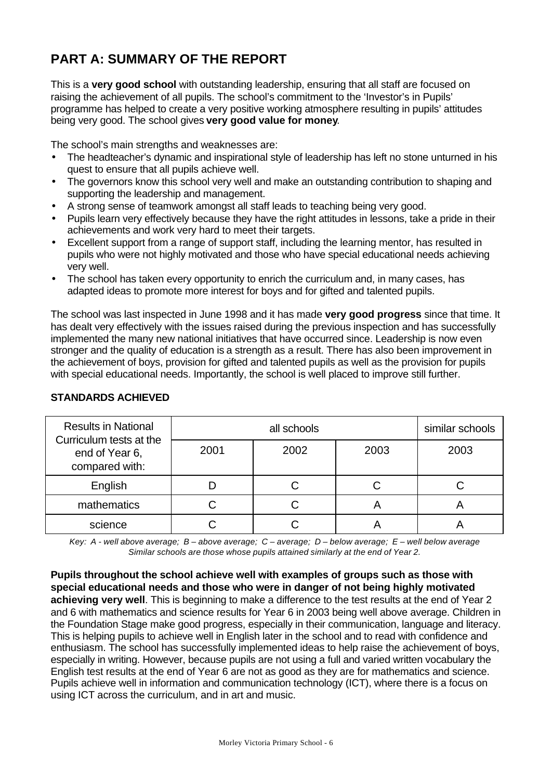# **PART A: SUMMARY OF THE REPORT**

This is a **very good school** with outstanding leadership, ensuring that all staff are focused on raising the achievement of all pupils. The school's commitment to the 'Investor's in Pupils' programme has helped to create a very positive working atmosphere resulting in pupils' attitudes being very good. The school gives **very good value for money**.

The school's main strengths and weaknesses are:

- The headteacher's dynamic and inspirational style of leadership has left no stone unturned in his quest to ensure that all pupils achieve well.
- The governors know this school very well and make an outstanding contribution to shaping and supporting the leadership and management.
- A strong sense of teamwork amongst all staff leads to teaching being very good.
- Pupils learn very effectively because they have the right attitudes in lessons, take a pride in their achievements and work very hard to meet their targets.
- Excellent support from a range of support staff, including the learning mentor, has resulted in pupils who were not highly motivated and those who have special educational needs achieving very well.
- The school has taken every opportunity to enrich the curriculum and, in many cases, has adapted ideas to promote more interest for boys and for gifted and talented pupils.

The school was last inspected in June 1998 and it has made **very good progress** since that time. It has dealt very effectively with the issues raised during the previous inspection and has successfully implemented the many new national initiatives that have occurred since. Leadership is now even stronger and the quality of education is a strength as a result. There has also been improvement in the achievement of boys, provision for gifted and talented pupils as well as the provision for pupils with special educational needs. Importantly, the school is well placed to improve still further.

| <b>Results in National</b>                                  |      | similar schools |      |      |
|-------------------------------------------------------------|------|-----------------|------|------|
| Curriculum tests at the<br>end of Year 6,<br>compared with: | 2001 | 2002            | 2003 | 2003 |
| English                                                     |      |                 | C    | С.   |
| mathematics                                                 |      |                 | ┍┑   |      |
| science                                                     |      |                 |      |      |

# **STANDARDS ACHIEVED**

*Key: A - well above average; B – above average; C – average; D – below average; E – well below average Similar schools are those whose pupils attained similarly at the end of Year 2.*

**Pupils throughout the school achieve well with examples of groups such as those with special educational needs and those who were in danger of not being highly motivated achieving very well**. This is beginning to make a difference to the test results at the end of Year 2 and 6 with mathematics and science results for Year 6 in 2003 being well above average. Children in the Foundation Stage make good progress, especially in their communication, language and literacy. This is helping pupils to achieve well in English later in the school and to read with confidence and enthusiasm. The school has successfully implemented ideas to help raise the achievement of boys, especially in writing. However, because pupils are not using a full and varied written vocabulary the English test results at the end of Year 6 are not as good as they are for mathematics and science. Pupils achieve well in information and communication technology (ICT), where there is a focus on using ICT across the curriculum, and in art and music.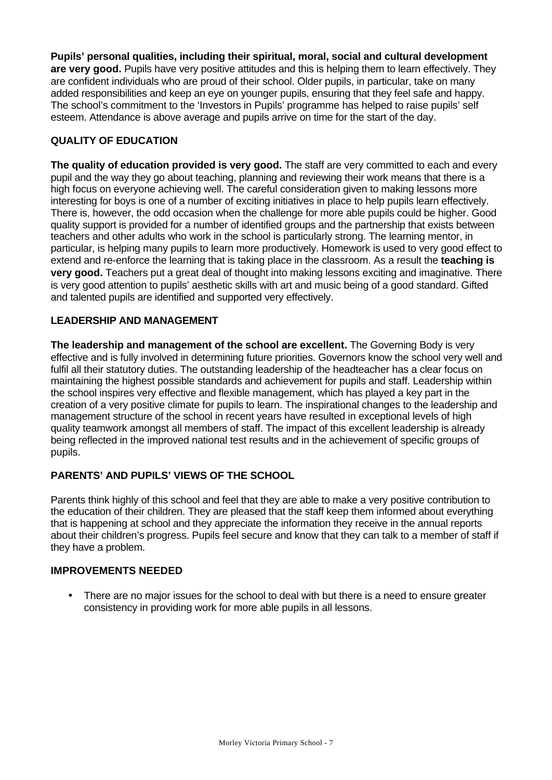**Pupils' personal qualities, including their spiritual, moral, social and cultural development are very good.** Pupils have very positive attitudes and this is helping them to learn effectively. They are confident individuals who are proud of their school. Older pupils, in particular, take on many added responsibilities and keep an eye on younger pupils, ensuring that they feel safe and happy. The school's commitment to the 'Investors in Pupils' programme has helped to raise pupils' self esteem. Attendance is above average and pupils arrive on time for the start of the day.

# **QUALITY OF EDUCATION**

**The quality of education provided is very good.** The staff are very committed to each and every pupil and the way they go about teaching, planning and reviewing their work means that there is a high focus on everyone achieving well. The careful consideration given to making lessons more interesting for boys is one of a number of exciting initiatives in place to help pupils learn effectively. There is, however, the odd occasion when the challenge for more able pupils could be higher. Good quality support is provided for a number of identified groups and the partnership that exists between teachers and other adults who work in the school is particularly strong. The learning mentor, in particular, is helping many pupils to learn more productively. Homework is used to very good effect to extend and re-enforce the learning that is taking place in the classroom. As a result the **teaching is very good.** Teachers put a great deal of thought into making lessons exciting and imaginative. There is very good attention to pupils' aesthetic skills with art and music being of a good standard. Gifted and talented pupils are identified and supported very effectively.

## **LEADERSHIP AND MANAGEMENT**

**The leadership and management of the school are excellent.** The Governing Body is very effective and is fully involved in determining future priorities. Governors know the school very well and fulfil all their statutory duties. The outstanding leadership of the headteacher has a clear focus on maintaining the highest possible standards and achievement for pupils and staff. Leadership within the school inspires very effective and flexible management, which has played a key part in the creation of a very positive climate for pupils to learn. The inspirational changes to the leadership and management structure of the school in recent years have resulted in exceptional levels of high quality teamwork amongst all members of staff. The impact of this excellent leadership is already being reflected in the improved national test results and in the achievement of specific groups of pupils.

# **PARENTS' AND PUPILS' VIEWS OF THE SCHOOL**

Parents think highly of this school and feel that they are able to make a very positive contribution to the education of their children. They are pleased that the staff keep them informed about everything that is happening at school and they appreciate the information they receive in the annual reports about their children's progress. Pupils feel secure and know that they can talk to a member of staff if they have a problem.

### **IMPROVEMENTS NEEDED**

• There are no major issues for the school to deal with but there is a need to ensure greater consistency in providing work for more able pupils in all lessons.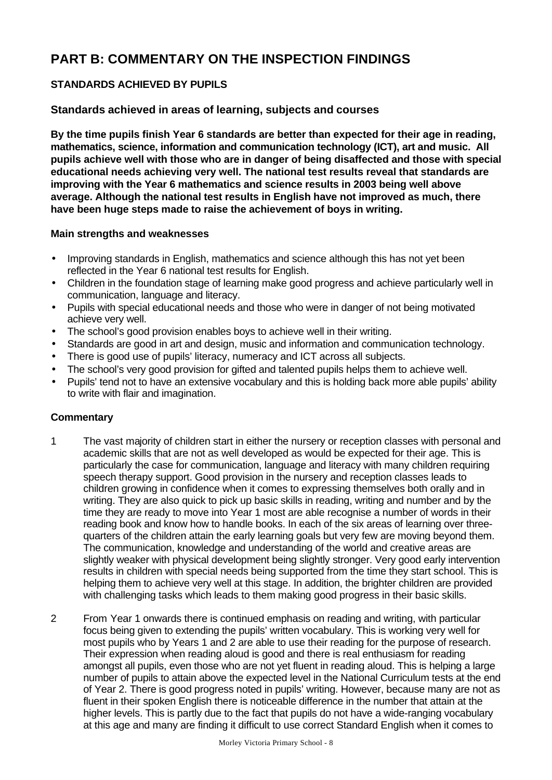# **PART B: COMMENTARY ON THE INSPECTION FINDINGS**

# **STANDARDS ACHIEVED BY PUPILS**

## **Standards achieved in areas of learning, subjects and courses**

**By the time pupils finish Year 6 standards are better than expected for their age in reading, mathematics, science, information and communication technology (ICT), art and music. All pupils achieve well with those who are in danger of being disaffected and those with special educational needs achieving very well. The national test results reveal that standards are improving with the Year 6 mathematics and science results in 2003 being well above average. Although the national test results in English have not improved as much, there have been huge steps made to raise the achievement of boys in writing.**

#### **Main strengths and weaknesses**

- Improving standards in English, mathematics and science although this has not yet been reflected in the Year 6 national test results for English.
- Children in the foundation stage of learning make good progress and achieve particularly well in communication, language and literacy.
- Pupils with special educational needs and those who were in danger of not being motivated achieve very well.
- The school's good provision enables boys to achieve well in their writing.
- Standards are good in art and design, music and information and communication technology.
- There is good use of pupils' literacy, numeracy and ICT across all subjects.
- The school's very good provision for gifted and talented pupils helps them to achieve well.
- Pupils' tend not to have an extensive vocabulary and this is holding back more able pupils' ability to write with flair and imagination.

- 1 The vast majority of children start in either the nursery or reception classes with personal and academic skills that are not as well developed as would be expected for their age. This is particularly the case for communication, language and literacy with many children requiring speech therapy support. Good provision in the nursery and reception classes leads to children growing in confidence when it comes to expressing themselves both orally and in writing. They are also quick to pick up basic skills in reading, writing and number and by the time they are ready to move into Year 1 most are able recognise a number of words in their reading book and know how to handle books. In each of the six areas of learning over threequarters of the children attain the early learning goals but very few are moving beyond them. The communication, knowledge and understanding of the world and creative areas are slightly weaker with physical development being slightly stronger. Very good early intervention results in children with special needs being supported from the time they start school. This is helping them to achieve very well at this stage. In addition, the brighter children are provided with challenging tasks which leads to them making good progress in their basic skills.
- 2 From Year 1 onwards there is continued emphasis on reading and writing, with particular focus being given to extending the pupils' written vocabulary. This is working very well for most pupils who by Years 1 and 2 are able to use their reading for the purpose of research. Their expression when reading aloud is good and there is real enthusiasm for reading amongst all pupils, even those who are not yet fluent in reading aloud. This is helping a large number of pupils to attain above the expected level in the National Curriculum tests at the end of Year 2. There is good progress noted in pupils' writing. However, because many are not as fluent in their spoken English there is noticeable difference in the number that attain at the higher levels. This is partly due to the fact that pupils do not have a wide-ranging vocabulary at this age and many are finding it difficult to use correct Standard English when it comes to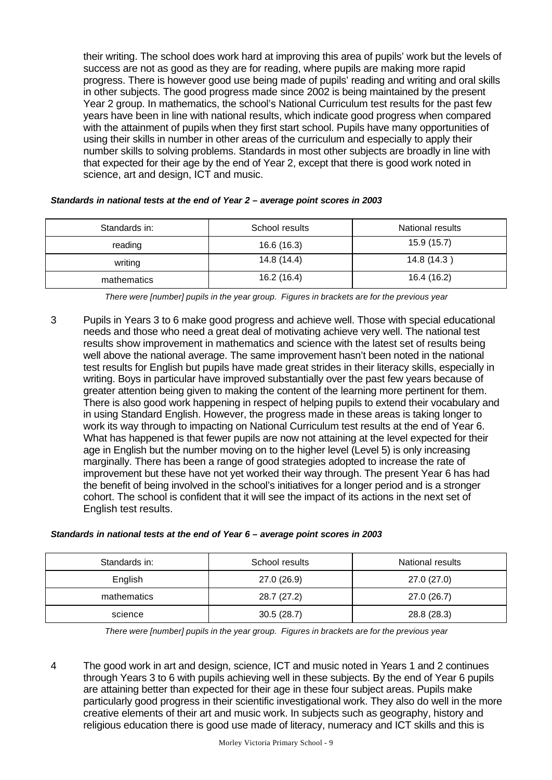their writing. The school does work hard at improving this area of pupils' work but the levels of success are not as good as they are for reading, where pupils are making more rapid progress. There is however good use being made of pupils' reading and writing and oral skills in other subjects. The good progress made since 2002 is being maintained by the present Year 2 group. In mathematics, the school's National Curriculum test results for the past few years have been in line with national results, which indicate good progress when compared with the attainment of pupils when they first start school. Pupils have many opportunities of using their skills in number in other areas of the curriculum and especially to apply their number skills to solving problems. Standards in most other subjects are broadly in line with that expected for their age by the end of Year 2, except that there is good work noted in science, art and design, ICT and music.

|  | Standards in national tests at the end of Year 2 - average point scores in 2003 |
|--|---------------------------------------------------------------------------------|
|--|---------------------------------------------------------------------------------|

| Standards in: | School results | National results |
|---------------|----------------|------------------|
| reading       | 16.6 (16.3)    | 15.9(15.7)       |
| writing       | 14.8 (14.4)    | 14.8 (14.3)      |
| mathematics   | 16.2 (16.4)    | 16.4 (16.2)      |

*There were [number] pupils in the year group. Figures in brackets are for the previous year*

3 Pupils in Years 3 to 6 make good progress and achieve well. Those with special educational needs and those who need a great deal of motivating achieve very well. The national test results show improvement in mathematics and science with the latest set of results being well above the national average. The same improvement hasn't been noted in the national test results for English but pupils have made great strides in their literacy skills, especially in writing. Boys in particular have improved substantially over the past few years because of greater attention being given to making the content of the learning more pertinent for them. There is also good work happening in respect of helping pupils to extend their vocabulary and in using Standard English. However, the progress made in these areas is taking longer to work its way through to impacting on National Curriculum test results at the end of Year 6. What has happened is that fewer pupils are now not attaining at the level expected for their age in English but the number moving on to the higher level (Level 5) is only increasing marginally. There has been a range of good strategies adopted to increase the rate of improvement but these have not yet worked their way through. The present Year 6 has had the benefit of being involved in the school's initiatives for a longer period and is a stronger cohort. The school is confident that it will see the impact of its actions in the next set of English test results.

| Standards in national tests at the end of Year 6 - average point scores in 2003 |  |  |
|---------------------------------------------------------------------------------|--|--|
|---------------------------------------------------------------------------------|--|--|

| Standards in: | School results | National results |
|---------------|----------------|------------------|
| English       | 27.0 (26.9)    | 27.0 (27.0)      |
| mathematics   | 28.7 (27.2)    | 27.0 (26.7)      |
| science       | 30.5(28.7)     | 28.8 (28.3)      |

*There were [number] pupils in the year group. Figures in brackets are for the previous year*

4 The good work in art and design, science, ICT and music noted in Years 1 and 2 continues through Years 3 to 6 with pupils achieving well in these subjects. By the end of Year 6 pupils are attaining better than expected for their age in these four subject areas. Pupils make particularly good progress in their scientific investigational work. They also do well in the more creative elements of their art and music work. In subjects such as geography, history and religious education there is good use made of literacy, numeracy and ICT skills and this is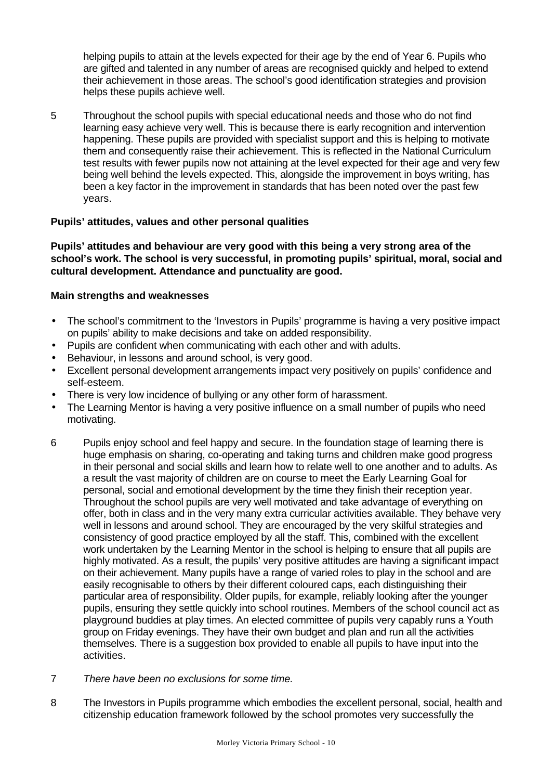helping pupils to attain at the levels expected for their age by the end of Year 6. Pupils who are gifted and talented in any number of areas are recognised quickly and helped to extend their achievement in those areas. The school's good identification strategies and provision helps these pupils achieve well.

5 Throughout the school pupils with special educational needs and those who do not find learning easy achieve very well. This is because there is early recognition and intervention happening. These pupils are provided with specialist support and this is helping to motivate them and consequently raise their achievement. This is reflected in the National Curriculum test results with fewer pupils now not attaining at the level expected for their age and very few being well behind the levels expected. This, alongside the improvement in boys writing, has been a key factor in the improvement in standards that has been noted over the past few years.

### **Pupils' attitudes, values and other personal qualities**

**Pupils' attitudes and behaviour are very good with this being a very strong area of the school's work. The school is very successful, in promoting pupils' spiritual, moral, social and cultural development. Attendance and punctuality are good.**

## **Main strengths and weaknesses**

- The school's commitment to the 'Investors in Pupils' programme is having a very positive impact on pupils' ability to make decisions and take on added responsibility.
- Pupils are confident when communicating with each other and with adults.
- Behaviour, in lessons and around school, is very good.
- Excellent personal development arrangements impact very positively on pupils' confidence and self-esteem.
- There is very low incidence of bullying or any other form of harassment.
- The Learning Mentor is having a very positive influence on a small number of pupils who need motivating.
- 6 Pupils enjoy school and feel happy and secure. In the foundation stage of learning there is huge emphasis on sharing, co-operating and taking turns and children make good progress in their personal and social skills and learn how to relate well to one another and to adults. As a result the vast majority of children are on course to meet the Early Learning Goal for personal, social and emotional development by the time they finish their reception year. Throughout the school pupils are very well motivated and take advantage of everything on offer, both in class and in the very many extra curricular activities available. They behave very well in lessons and around school. They are encouraged by the very skilful strategies and consistency of good practice employed by all the staff. This, combined with the excellent work undertaken by the Learning Mentor in the school is helping to ensure that all pupils are highly motivated. As a result, the pupils' very positive attitudes are having a significant impact on their achievement. Many pupils have a range of varied roles to play in the school and are easily recognisable to others by their different coloured caps, each distinguishing their particular area of responsibility. Older pupils, for example, reliably looking after the younger pupils, ensuring they settle quickly into school routines. Members of the school council act as playground buddies at play times. An elected committee of pupils very capably runs a Youth group on Friday evenings. They have their own budget and plan and run all the activities themselves. There is a suggestion box provided to enable all pupils to have input into the activities.
- 7 *There have been no exclusions for some time.*
- 8 The Investors in Pupils programme which embodies the excellent personal, social, health and citizenship education framework followed by the school promotes very successfully the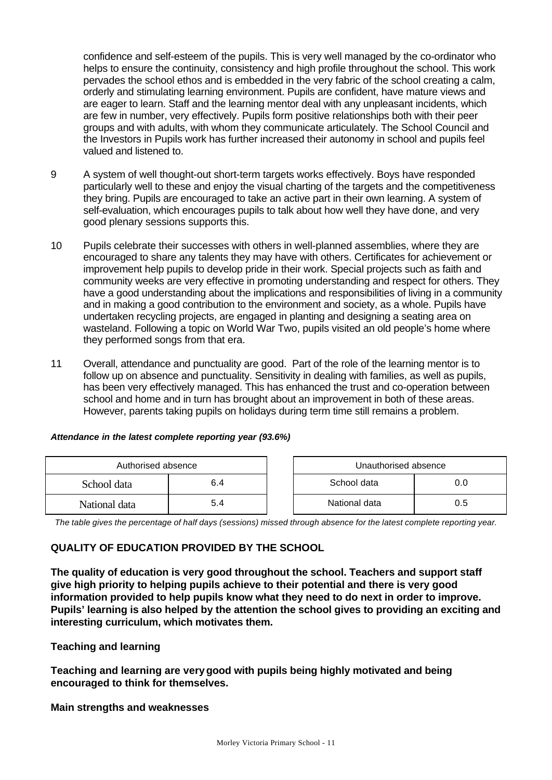confidence and self-esteem of the pupils. This is very well managed by the co-ordinator who helps to ensure the continuity, consistency and high profile throughout the school. This work pervades the school ethos and is embedded in the very fabric of the school creating a calm, orderly and stimulating learning environment. Pupils are confident, have mature views and are eager to learn. Staff and the learning mentor deal with any unpleasant incidents, which are few in number, very effectively. Pupils form positive relationships both with their peer groups and with adults, with whom they communicate articulately. The School Council and the Investors in Pupils work has further increased their autonomy in school and pupils feel valued and listened to.

- 9 A system of well thought-out short-term targets works effectively. Boys have responded particularly well to these and enjoy the visual charting of the targets and the competitiveness they bring. Pupils are encouraged to take an active part in their own learning. A system of self-evaluation, which encourages pupils to talk about how well they have done, and very good plenary sessions supports this.
- 10 Pupils celebrate their successes with others in well-planned assemblies, where they are encouraged to share any talents they may have with others. Certificates for achievement or improvement help pupils to develop pride in their work. Special projects such as faith and community weeks are very effective in promoting understanding and respect for others. They have a good understanding about the implications and responsibilities of living in a community and in making a good contribution to the environment and society, as a whole. Pupils have undertaken recycling projects, are engaged in planting and designing a seating area on wasteland. Following a topic on World War Two, pupils visited an old people's home where they performed songs from that era.
- 11 Overall, attendance and punctuality are good. Part of the role of the learning mentor is to follow up on absence and punctuality. Sensitivity in dealing with families, as well as pupils, has been very effectively managed. This has enhanced the trust and co-operation between school and home and in turn has brought about an improvement in both of these areas. However, parents taking pupils on holidays during term time still remains a problem.

| Authorised absence |     | Unauthorised absence |     |
|--------------------|-----|----------------------|-----|
| 6.4<br>School data |     | School data          | 0.0 |
| National data      | 5.4 | National data        | 0.5 |

### *Attendance in the latest complete reporting year (93.6%)*

*The table gives the percentage of half days (sessions) missed through absence for the latest complete reporting year.*

### **QUALITY OF EDUCATION PROVIDED BY THE SCHOOL**

**The quality of education is very good throughout the school. Teachers and support staff give high priority to helping pupils achieve to their potential and there is very good information provided to help pupils know what they need to do next in order to improve. Pupils' learning is also helped by the attention the school gives to providing an exciting and interesting curriculum, which motivates them.**

### **Teaching and learning**

**Teaching and learning are verygood with pupils being highly motivated and being encouraged to think for themselves.**

**Main strengths and weaknesses**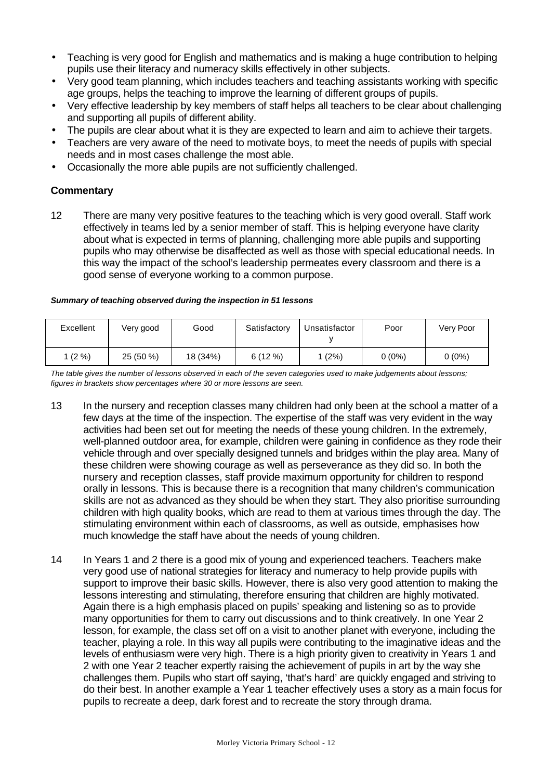- Teaching is very good for English and mathematics and is making a huge contribution to helping pupils use their literacy and numeracy skills effectively in other subjects.
- Very good team planning, which includes teachers and teaching assistants working with specific age groups, helps the teaching to improve the learning of different groups of pupils.
- Very effective leadership by key members of staff helps all teachers to be clear about challenging and supporting all pupils of different ability.
- The pupils are clear about what it is they are expected to learn and aim to achieve their targets.
- Teachers are very aware of the need to motivate boys, to meet the needs of pupils with special needs and in most cases challenge the most able.
- Occasionally the more able pupils are not sufficiently challenged.

## **Commentary**

12 There are many very positive features to the teaching which is very good overall. Staff work effectively in teams led by a senior member of staff. This is helping everyone have clarity about what is expected in terms of planning, challenging more able pupils and supporting pupils who may otherwise be disaffected as well as those with special educational needs. In this way the impact of the school's leadership permeates every classroom and there is a good sense of everyone working to a common purpose.

#### *Summary of teaching observed during the inspection in 51 lessons*

| Excellent | Very good | Good     | Satisfactory | Unsatisfactor | Poor   | Very Poor |
|-----------|-----------|----------|--------------|---------------|--------|-----------|
| $1(2\%)$  | 25 (50 %) | 18 (34%) | 6(12%)       | (2%)          | 0 (0%) | $0(0\%)$  |

*The table gives the number of lessons observed in each of the seven categories used to make judgements about lessons; figures in brackets show percentages where 30 or more lessons are seen.*

- 13 In the nursery and reception classes many children had only been at the school a matter of a few days at the time of the inspection. The expertise of the staff was very evident in the way activities had been set out for meeting the needs of these young children. In the extremely, well-planned outdoor area, for example, children were gaining in confidence as they rode their vehicle through and over specially designed tunnels and bridges within the play area. Many of these children were showing courage as well as perseverance as they did so. In both the nursery and reception classes, staff provide maximum opportunity for children to respond orally in lessons. This is because there is a recognition that many children's communication skills are not as advanced as they should be when they start. They also prioritise surrounding children with high quality books, which are read to them at various times through the day. The stimulating environment within each of classrooms, as well as outside, emphasises how much knowledge the staff have about the needs of young children.
- 14 In Years 1 and 2 there is a good mix of young and experienced teachers. Teachers make very good use of national strategies for literacy and numeracy to help provide pupils with support to improve their basic skills. However, there is also very good attention to making the lessons interesting and stimulating, therefore ensuring that children are highly motivated. Again there is a high emphasis placed on pupils' speaking and listening so as to provide many opportunities for them to carry out discussions and to think creatively. In one Year 2 lesson, for example, the class set off on a visit to another planet with everyone, including the teacher, playing a role. In this way all pupils were contributing to the imaginative ideas and the levels of enthusiasm were very high. There is a high priority given to creativity in Years 1 and 2 with one Year 2 teacher expertly raising the achievement of pupils in art by the way she challenges them. Pupils who start off saying, 'that's hard' are quickly engaged and striving to do their best. In another example a Year 1 teacher effectively uses a story as a main focus for pupils to recreate a deep, dark forest and to recreate the story through drama.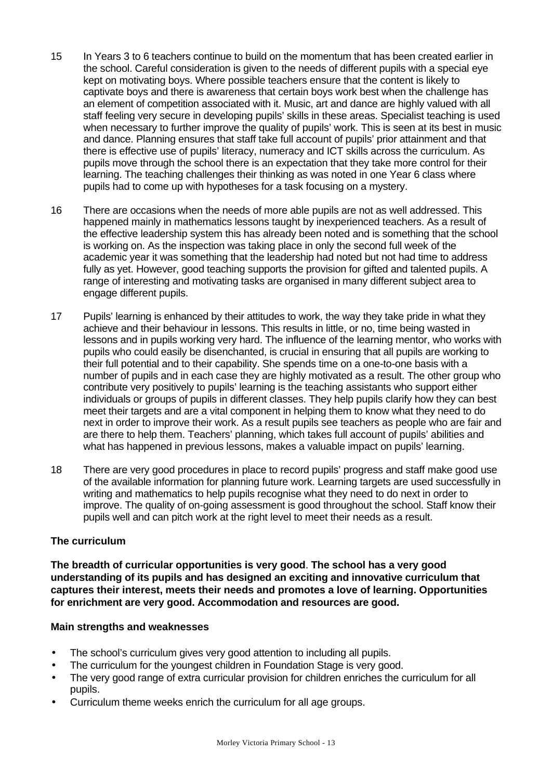- 15 In Years 3 to 6 teachers continue to build on the momentum that has been created earlier in the school. Careful consideration is given to the needs of different pupils with a special eye kept on motivating boys. Where possible teachers ensure that the content is likely to captivate boys and there is awareness that certain boys work best when the challenge has an element of competition associated with it. Music, art and dance are highly valued with all staff feeling very secure in developing pupils' skills in these areas. Specialist teaching is used when necessary to further improve the quality of pupils' work. This is seen at its best in music and dance. Planning ensures that staff take full account of pupils' prior attainment and that there is effective use of pupils' literacy, numeracy and ICT skills across the curriculum. As pupils move through the school there is an expectation that they take more control for their learning. The teaching challenges their thinking as was noted in one Year 6 class where pupils had to come up with hypotheses for a task focusing on a mystery.
- 16 There are occasions when the needs of more able pupils are not as well addressed. This happened mainly in mathematics lessons taught by inexperienced teachers. As a result of the effective leadership system this has already been noted and is something that the school is working on. As the inspection was taking place in only the second full week of the academic year it was something that the leadership had noted but not had time to address fully as yet. However, good teaching supports the provision for gifted and talented pupils. A range of interesting and motivating tasks are organised in many different subject area to engage different pupils.
- 17 Pupils' learning is enhanced by their attitudes to work, the way they take pride in what they achieve and their behaviour in lessons. This results in little, or no, time being wasted in lessons and in pupils working very hard. The influence of the learning mentor, who works with pupils who could easily be disenchanted, is crucial in ensuring that all pupils are working to their full potential and to their capability. She spends time on a one-to-one basis with a number of pupils and in each case they are highly motivated as a result. The other group who contribute very positively to pupils' learning is the teaching assistants who support either individuals or groups of pupils in different classes. They help pupils clarify how they can best meet their targets and are a vital component in helping them to know what they need to do next in order to improve their work. As a result pupils see teachers as people who are fair and are there to help them. Teachers' planning, which takes full account of pupils' abilities and what has happened in previous lessons, makes a valuable impact on pupils' learning.
- 18 There are very good procedures in place to record pupils' progress and staff make good use of the available information for planning future work. Learning targets are used successfully in writing and mathematics to help pupils recognise what they need to do next in order to improve. The quality of on-going assessment is good throughout the school. Staff know their pupils well and can pitch work at the right level to meet their needs as a result.

### **The curriculum**

**The breadth of curricular opportunities is very good**. **The school has a very good understanding of its pupils and has designed an exciting and innovative curriculum that captures their interest, meets their needs and promotes a love of learning. Opportunities for enrichment are very good. Accommodation and resources are good.**

#### **Main strengths and weaknesses**

- The school's curriculum gives very good attention to including all pupils.
- The curriculum for the youngest children in Foundation Stage is very good.
- The very good range of extra curricular provision for children enriches the curriculum for all pupils.
- Curriculum theme weeks enrich the curriculum for all age groups.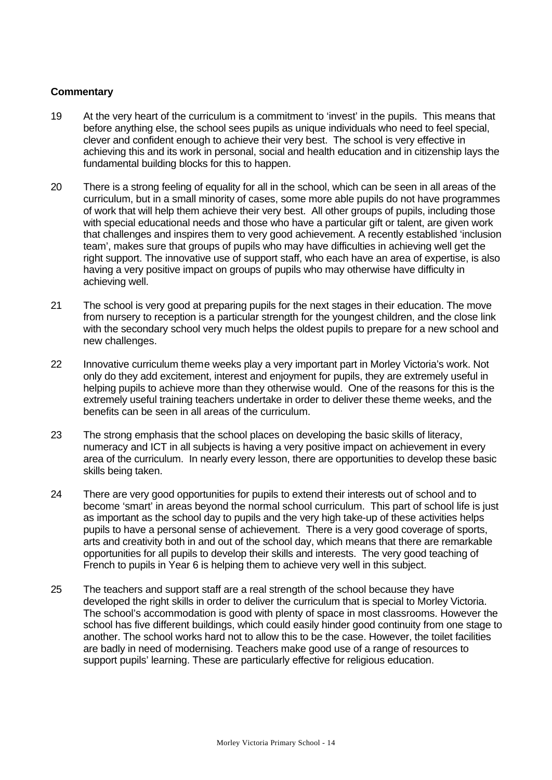- 19 At the very heart of the curriculum is a commitment to 'invest' in the pupils. This means that before anything else, the school sees pupils as unique individuals who need to feel special, clever and confident enough to achieve their very best. The school is very effective in achieving this and its work in personal, social and health education and in citizenship lays the fundamental building blocks for this to happen.
- 20 There is a strong feeling of equality for all in the school, which can be seen in all areas of the curriculum, but in a small minority of cases, some more able pupils do not have programmes of work that will help them achieve their very best. All other groups of pupils, including those with special educational needs and those who have a particular gift or talent, are given work that challenges and inspires them to very good achievement. A recently established 'inclusion team', makes sure that groups of pupils who may have difficulties in achieving well get the right support. The innovative use of support staff, who each have an area of expertise, is also having a very positive impact on groups of pupils who may otherwise have difficulty in achieving well.
- 21 The school is very good at preparing pupils for the next stages in their education. The move from nursery to reception is a particular strength for the youngest children, and the close link with the secondary school very much helps the oldest pupils to prepare for a new school and new challenges.
- 22 Innovative curriculum theme weeks play a very important part in Morley Victoria's work. Not only do they add excitement, interest and enjoyment for pupils, they are extremely useful in helping pupils to achieve more than they otherwise would. One of the reasons for this is the extremely useful training teachers undertake in order to deliver these theme weeks, and the benefits can be seen in all areas of the curriculum.
- 23 The strong emphasis that the school places on developing the basic skills of literacy, numeracy and ICT in all subjects is having a very positive impact on achievement in every area of the curriculum. In nearly every lesson, there are opportunities to develop these basic skills being taken.
- 24 There are very good opportunities for pupils to extend their interests out of school and to become 'smart' in areas beyond the normal school curriculum. This part of school life is just as important as the school day to pupils and the very high take-up of these activities helps pupils to have a personal sense of achievement. There is a very good coverage of sports, arts and creativity both in and out of the school day, which means that there are remarkable opportunities for all pupils to develop their skills and interests. The very good teaching of French to pupils in Year 6 is helping them to achieve very well in this subject.
- 25 The teachers and support staff are a real strength of the school because they have developed the right skills in order to deliver the curriculum that is special to Morley Victoria. The school's accommodation is good with plenty of space in most classrooms. However the school has five different buildings, which could easily hinder good continuity from one stage to another. The school works hard not to allow this to be the case. However, the toilet facilities are badly in need of modernising. Teachers make good use of a range of resources to support pupils' learning. These are particularly effective for religious education.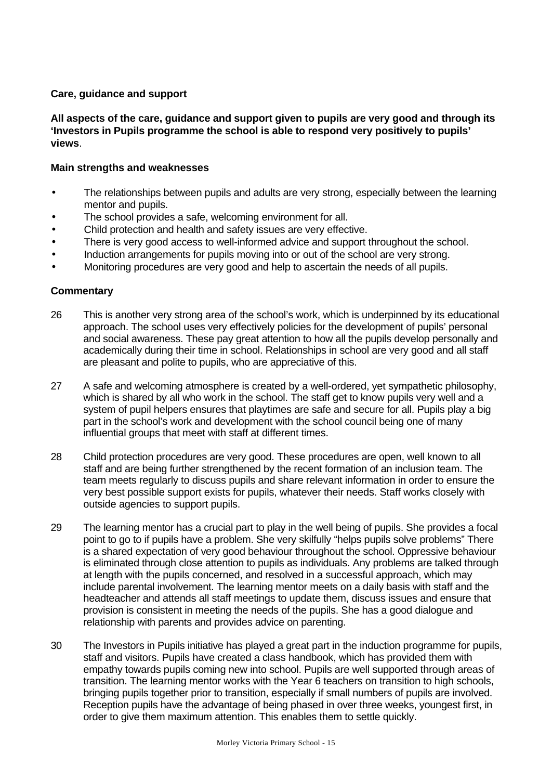#### **Care, guidance and support**

**All aspects of the care, guidance and support given to pupils are very good and through its 'Investors in Pupils programme the school is able to respond very positively to pupils' views**.

#### **Main strengths and weaknesses**

- The relationships between pupils and adults are very strong, especially between the learning mentor and pupils.
- The school provides a safe, welcoming environment for all.
- Child protection and health and safety issues are very effective.
- There is very good access to well-informed advice and support throughout the school.
- Induction arrangements for pupils moving into or out of the school are very strong.
- Monitoring procedures are very good and help to ascertain the needs of all pupils.

- 26 This is another very strong area of the school's work, which is underpinned by its educational approach. The school uses very effectively policies for the development of pupils' personal and social awareness. These pay great attention to how all the pupils develop personally and academically during their time in school. Relationships in school are very good and all staff are pleasant and polite to pupils, who are appreciative of this.
- 27 A safe and welcoming atmosphere is created by a well-ordered, yet sympathetic philosophy, which is shared by all who work in the school. The staff get to know pupils very well and a system of pupil helpers ensures that playtimes are safe and secure for all. Pupils play a big part in the school's work and development with the school council being one of many influential groups that meet with staff at different times.
- 28 Child protection procedures are very good. These procedures are open, well known to all staff and are being further strengthened by the recent formation of an inclusion team. The team meets regularly to discuss pupils and share relevant information in order to ensure the very best possible support exists for pupils, whatever their needs. Staff works closely with outside agencies to support pupils.
- 29 The learning mentor has a crucial part to play in the well being of pupils. She provides a focal point to go to if pupils have a problem. She very skilfully "helps pupils solve problems" There is a shared expectation of very good behaviour throughout the school. Oppressive behaviour is eliminated through close attention to pupils as individuals. Any problems are talked through at length with the pupils concerned, and resolved in a successful approach, which may include parental involvement. The learning mentor meets on a daily basis with staff and the headteacher and attends all staff meetings to update them, discuss issues and ensure that provision is consistent in meeting the needs of the pupils. She has a good dialogue and relationship with parents and provides advice on parenting.
- 30 The Investors in Pupils initiative has played a great part in the induction programme for pupils, staff and visitors. Pupils have created a class handbook, which has provided them with empathy towards pupils coming new into school. Pupils are well supported through areas of transition. The learning mentor works with the Year 6 teachers on transition to high schools, bringing pupils together prior to transition, especially if small numbers of pupils are involved. Reception pupils have the advantage of being phased in over three weeks, youngest first, in order to give them maximum attention. This enables them to settle quickly.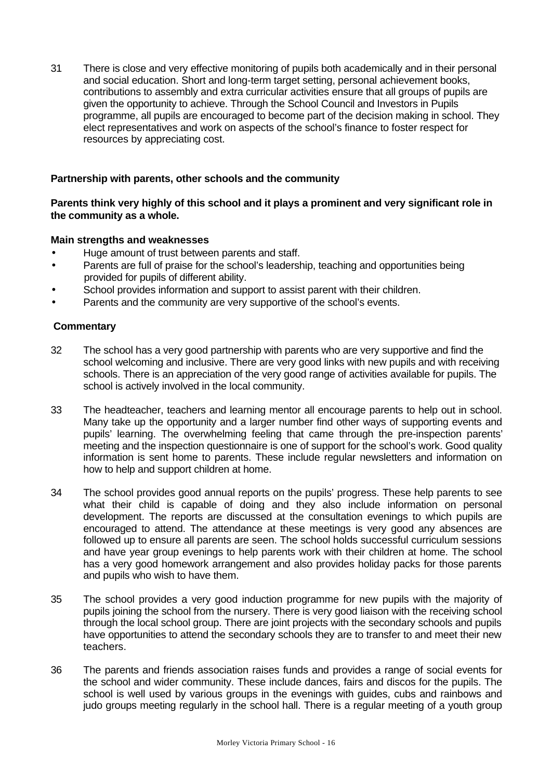31 There is close and very effective monitoring of pupils both academically and in their personal and social education. Short and long-term target setting, personal achievement books, contributions to assembly and extra curricular activities ensure that all groups of pupils are given the opportunity to achieve. Through the School Council and Investors in Pupils programme, all pupils are encouraged to become part of the decision making in school. They elect representatives and work on aspects of the school's finance to foster respect for resources by appreciating cost.

## **Partnership with parents, other schools and the community**

## **Parents think very highly of this school and it plays a prominent and very significant role in the community as a whole.**

## **Main strengths and weaknesses**

- Huge amount of trust between parents and staff.
- Parents are full of praise for the school's leadership, teaching and opportunities being provided for pupils of different ability.
- School provides information and support to assist parent with their children.
- Parents and the community are very supportive of the school's events.

- 32 The school has a very good partnership with parents who are very supportive and find the school welcoming and inclusive. There are very good links with new pupils and with receiving schools. There is an appreciation of the very good range of activities available for pupils. The school is actively involved in the local community.
- 33 The headteacher, teachers and learning mentor all encourage parents to help out in school. Many take up the opportunity and a larger number find other ways of supporting events and pupils' learning. The overwhelming feeling that came through the pre-inspection parents' meeting and the inspection questionnaire is one of support for the school's work. Good quality information is sent home to parents. These include regular newsletters and information on how to help and support children at home.
- 34 The school provides good annual reports on the pupils' progress. These help parents to see what their child is capable of doing and they also include information on personal development. The reports are discussed at the consultation evenings to which pupils are encouraged to attend. The attendance at these meetings is very good any absences are followed up to ensure all parents are seen. The school holds successful curriculum sessions and have year group evenings to help parents work with their children at home. The school has a very good homework arrangement and also provides holiday packs for those parents and pupils who wish to have them.
- 35 The school provides a very good induction programme for new pupils with the majority of pupils joining the school from the nursery. There is very good liaison with the receiving school through the local school group. There are joint projects with the secondary schools and pupils have opportunities to attend the secondary schools they are to transfer to and meet their new teachers.
- 36 The parents and friends association raises funds and provides a range of social events for the school and wider community. These include dances, fairs and discos for the pupils. The school is well used by various groups in the evenings with guides, cubs and rainbows and judo groups meeting regularly in the school hall. There is a regular meeting of a youth group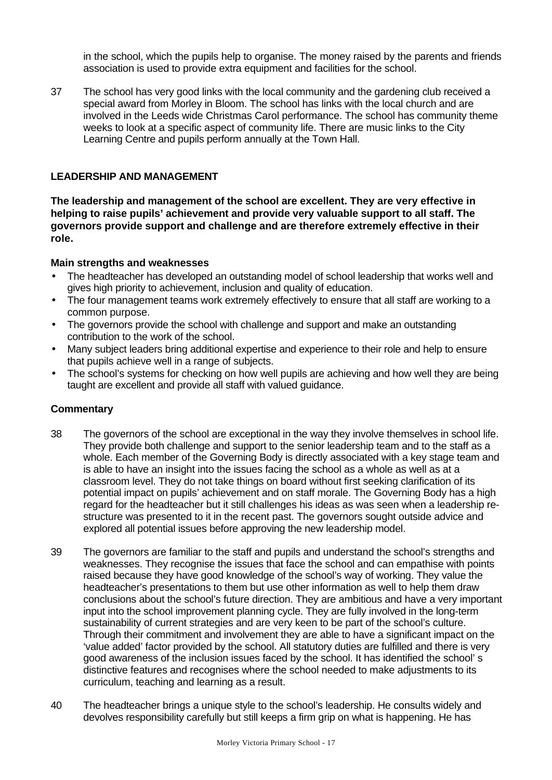in the school, which the pupils help to organise. The money raised by the parents and friends association is used to provide extra equipment and facilities for the school.

37 The school has very good links with the local community and the gardening club received a special award from Morley in Bloom. The school has links with the local church and are involved in the Leeds wide Christmas Carol performance. The school has community theme weeks to look at a specific aspect of community life. There are music links to the City Learning Centre and pupils perform annually at the Town Hall.

#### **LEADERSHIP AND MANAGEMENT**

**The leadership and management of the school are excellent. They are very effective in helping to raise pupils' achievement and provide very valuable support to all staff. The governors provide support and challenge and are therefore extremely effective in their role.**

#### **Main strengths and weaknesses**

- The headteacher has developed an outstanding model of school leadership that works well and gives high priority to achievement, inclusion and quality of education.
- The four management teams work extremely effectively to ensure that all staff are working to a common purpose.
- The governors provide the school with challenge and support and make an outstanding contribution to the work of the school.
- Many subject leaders bring additional expertise and experience to their role and help to ensure that pupils achieve well in a range of subjects.
- The school's systems for checking on how well pupils are achieving and how well they are being taught are excellent and provide all staff with valued guidance.

- 38 The governors of the school are exceptional in the way they involve themselves in school life. They provide both challenge and support to the senior leadership team and to the staff as a whole. Each member of the Governing Body is directly associated with a key stage team and is able to have an insight into the issues facing the school as a whole as well as at a classroom level. They do not take things on board without first seeking clarification of its potential impact on pupils' achievement and on staff morale. The Governing Body has a high regard for the headteacher but it still challenges his ideas as was seen when a leadership restructure was presented to it in the recent past. The governors sought outside advice and explored all potential issues before approving the new leadership model.
- 39 The governors are familiar to the staff and pupils and understand the school's strengths and weaknesses. They recognise the issues that face the school and can empathise with points raised because they have good knowledge of the school's way of working. They value the headteacher's presentations to them but use other information as well to help them draw conclusions about the school's future direction. They are ambitious and have a very important input into the school improvement planning cycle. They are fully involved in the long-term sustainability of current strategies and are very keen to be part of the school's culture. Through their commitment and involvement they are able to have a significant impact on the 'value added' factor provided by the school. All statutory duties are fulfilled and there is very good awareness of the inclusion issues faced by the school. It has identified the school' s distinctive features and recognises where the school needed to make adjustments to its curriculum, teaching and learning as a result.
- 40 The headteacher brings a unique style to the school's leadership. He consults widely and devolves responsibility carefully but still keeps a firm grip on what is happening. He has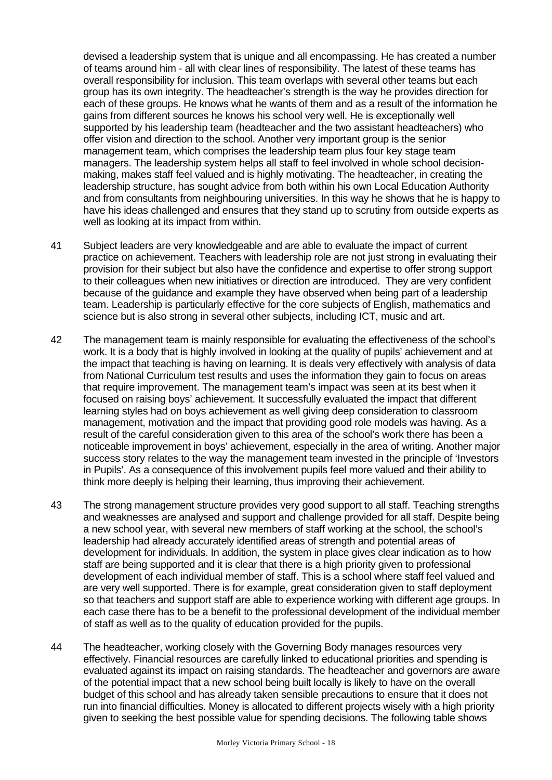devised a leadership system that is unique and all encompassing. He has created a number of teams around him - all with clear lines of responsibility. The latest of these teams has overall responsibility for inclusion. This team overlaps with several other teams but each group has its own integrity. The headteacher's strength is the way he provides direction for each of these groups. He knows what he wants of them and as a result of the information he gains from different sources he knows his school very well. He is exceptionally well supported by his leadership team (headteacher and the two assistant headteachers) who offer vision and direction to the school. Another very important group is the senior management team, which comprises the leadership team plus four key stage team managers. The leadership system helps all staff to feel involved in whole school decisionmaking, makes staff feel valued and is highly motivating. The headteacher, in creating the leadership structure, has sought advice from both within his own Local Education Authority and from consultants from neighbouring universities. In this way he shows that he is happy to have his ideas challenged and ensures that they stand up to scrutiny from outside experts as well as looking at its impact from within.

- 41 Subject leaders are very knowledgeable and are able to evaluate the impact of current practice on achievement. Teachers with leadership role are not just strong in evaluating their provision for their subject but also have the confidence and expertise to offer strong support to their colleagues when new initiatives or direction are introduced. They are very confident because of the guidance and example they have observed when being part of a leadership team. Leadership is particularly effective for the core subjects of English, mathematics and science but is also strong in several other subjects, including ICT, music and art.
- 42 The management team is mainly responsible for evaluating the effectiveness of the school's work. It is a body that is highly involved in looking at the quality of pupils' achievement and at the impact that teaching is having on learning. It is deals very effectively with analysis of data from National Curriculum test results and uses the information they gain to focus on areas that require improvement. The management team's impact was seen at its best when it focused on raising boys' achievement. It successfully evaluated the impact that different learning styles had on boys achievement as well giving deep consideration to classroom management, motivation and the impact that providing good role models was having. As a result of the careful consideration given to this area of the school's work there has been a noticeable improvement in boys' achievement, especially in the area of writing. Another major success story relates to the way the management team invested in the principle of 'Investors in Pupils'. As a consequence of this involvement pupils feel more valued and their ability to think more deeply is helping their learning, thus improving their achievement.
- 43 The strong management structure provides very good support to all staff. Teaching strengths and weaknesses are analysed and support and challenge provided for all staff. Despite being a new school year, with several new members of staff working at the school, the school's leadership had already accurately identified areas of strength and potential areas of development for individuals. In addition, the system in place gives clear indication as to how staff are being supported and it is clear that there is a high priority given to professional development of each individual member of staff. This is a school where staff feel valued and are very well supported. There is for example, great consideration given to staff deployment so that teachers and support staff are able to experience working with different age groups. In each case there has to be a benefit to the professional development of the individual member of staff as well as to the quality of education provided for the pupils.
- 44 The headteacher, working closely with the Governing Body manages resources very effectively. Financial resources are carefully linked to educational priorities and spending is evaluated against its impact on raising standards. The headteacher and governors are aware of the potential impact that a new school being built locally is likely to have on the overall budget of this school and has already taken sensible precautions to ensure that it does not run into financial difficulties. Money is allocated to different projects wisely with a high priority given to seeking the best possible value for spending decisions. The following table shows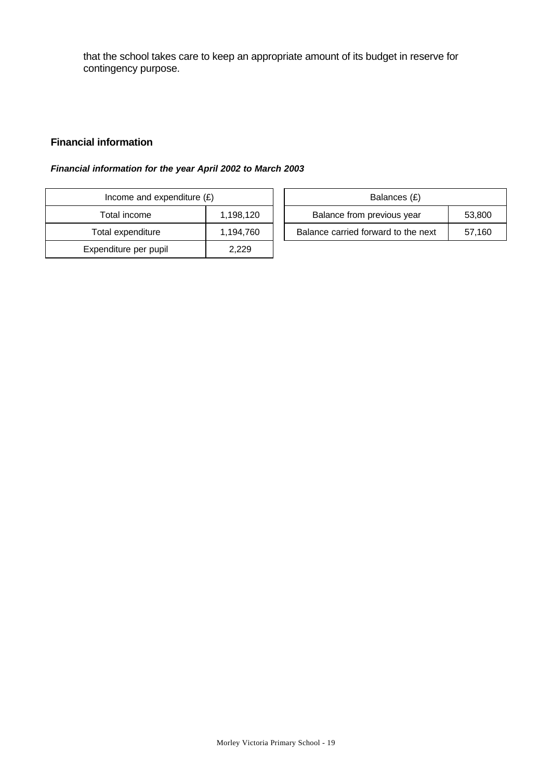that the school takes care to keep an appropriate amount of its budget in reserve for contingency purpose.

## **Financial information**

### *Financial information for the year April 2002 to March 2003*

| Income and expenditure $(E)$ |           | Balances (£)                     |
|------------------------------|-----------|----------------------------------|
| Total income                 | 1,198,120 | Balance from previous year       |
| Total expenditure            | 1,194,760 | Balance carried forward to the r |
| Expenditure per pupil        | 2.229     |                                  |

| Income and expenditure $(E)$ |           |                            | Balances (£)                        |        |
|------------------------------|-----------|----------------------------|-------------------------------------|--------|
| Total income                 | 1,198,120 | Balance from previous year |                                     | 53,800 |
| Total expenditure            | 1,194,760 |                            | Balance carried forward to the next | 57.160 |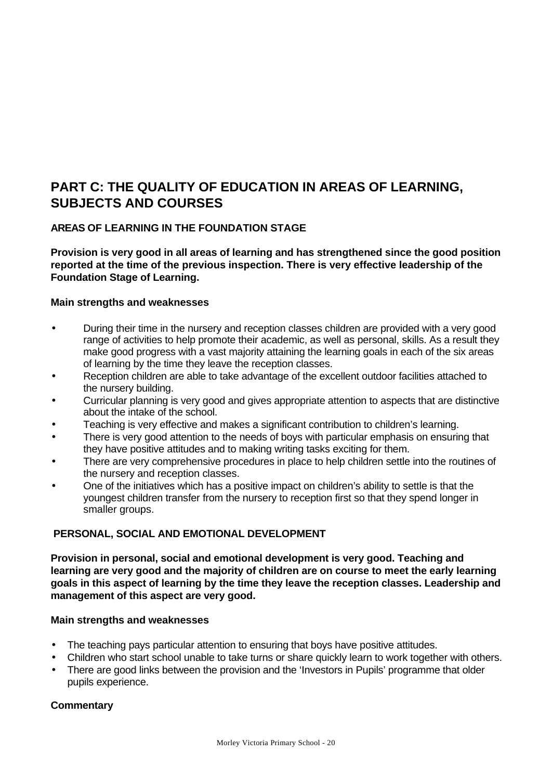# **PART C: THE QUALITY OF EDUCATION IN AREAS OF LEARNING, SUBJECTS AND COURSES**

# **AREAS OF LEARNING IN THE FOUNDATION STAGE**

**Provision is very good in all areas of learning and has strengthened since the good position reported at the time of the previous inspection. There is very effective leadership of the Foundation Stage of Learning.**

## **Main strengths and weaknesses**

- During their time in the nursery and reception classes children are provided with a very good range of activities to help promote their academic, as well as personal, skills. As a result they make good progress with a vast majority attaining the learning goals in each of the six areas of learning by the time they leave the reception classes.
- Reception children are able to take advantage of the excellent outdoor facilities attached to the nursery building.
- Curricular planning is very good and gives appropriate attention to aspects that are distinctive about the intake of the school.
- Teaching is very effective and makes a significant contribution to children's learning.
- There is very good attention to the needs of boys with particular emphasis on ensuring that they have positive attitudes and to making writing tasks exciting for them.
- There are very comprehensive procedures in place to help children settle into the routines of the nursery and reception classes.
- One of the initiatives which has a positive impact on children's ability to settle is that the youngest children transfer from the nursery to reception first so that they spend longer in smaller groups.

# **PERSONAL, SOCIAL AND EMOTIONAL DEVELOPMENT**

**Provision in personal, social and emotional development is very good. Teaching and learning are very good and the majority of children are on course to meet the early learning goals in this aspect of learning by the time they leave the reception classes. Leadership and management of this aspect are very good.**

### **Main strengths and weaknesses**

- The teaching pays particular attention to ensuring that boys have positive attitudes.
- Children who start school unable to take turns or share quickly learn to work together with others.
- There are good links between the provision and the 'Investors in Pupils' programme that older pupils experience.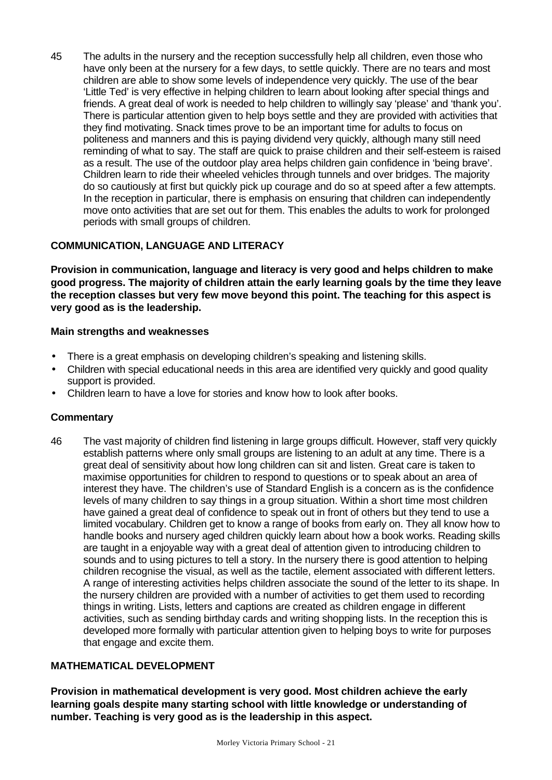45 The adults in the nursery and the reception successfully help all children, even those who have only been at the nursery for a few days, to settle quickly. There are no tears and most children are able to show some levels of independence very quickly. The use of the bear 'Little Ted' is very effective in helping children to learn about looking after special things and friends. A great deal of work is needed to help children to willingly say 'please' and 'thank you'. There is particular attention given to help boys settle and they are provided with activities that they find motivating. Snack times prove to be an important time for adults to focus on politeness and manners and this is paying dividend very quickly, although many still need reminding of what to say. The staff are quick to praise children and their self-esteem is raised as a result. The use of the outdoor play area helps children gain confidence in 'being brave'. Children learn to ride their wheeled vehicles through tunnels and over bridges. The majority do so cautiously at first but quickly pick up courage and do so at speed after a few attempts. In the reception in particular, there is emphasis on ensuring that children can independently move onto activities that are set out for them. This enables the adults to work for prolonged periods with small groups of children.

# **COMMUNICATION, LANGUAGE AND LITERACY**

**Provision in communication, language and literacy is very good and helps children to make good progress. The majority of children attain the early learning goals by the time they leave the reception classes but very few move beyond this point. The teaching for this aspect is very good as is the leadership.**

## **Main strengths and weaknesses**

- There is a great emphasis on developing children's speaking and listening skills.
- Children with special educational needs in this area are identified very quickly and good quality support is provided.
- Children learn to have a love for stories and know how to look after books.

# **Commentary**

46 The vast majority of children find listening in large groups difficult. However, staff very quickly establish patterns where only small groups are listening to an adult at any time. There is a great deal of sensitivity about how long children can sit and listen. Great care is taken to maximise opportunities for children to respond to questions or to speak about an area of interest they have. The children's use of Standard English is a concern as is the confidence levels of many children to say things in a group situation. Within a short time most children have gained a great deal of confidence to speak out in front of others but they tend to use a limited vocabulary. Children get to know a range of books from early on. They all know how to handle books and nursery aged children quickly learn about how a book works. Reading skills are taught in a enjoyable way with a great deal of attention given to introducing children to sounds and to using pictures to tell a story. In the nursery there is good attention to helping children recognise the visual, as well as the tactile, element associated with different letters. A range of interesting activities helps children associate the sound of the letter to its shape. In the nursery children are provided with a number of activities to get them used to recording things in writing. Lists, letters and captions are created as children engage in different activities, such as sending birthday cards and writing shopping lists. In the reception this is developed more formally with particular attention given to helping boys to write for purposes that engage and excite them.

# **MATHEMATICAL DEVELOPMENT**

**Provision in mathematical development is very good. Most children achieve the early learning goals despite many starting school with little knowledge or understanding of number. Teaching is very good as is the leadership in this aspect.**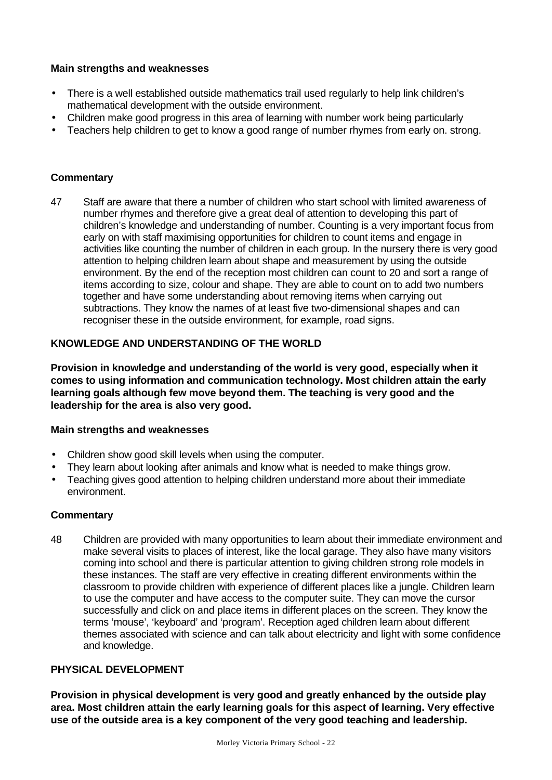## **Main strengths and weaknesses**

- There is a well established outside mathematics trail used regularly to help link children's mathematical development with the outside environment.
- Children make good progress in this area of learning with number work being particularly
- Teachers help children to get to know a good range of number rhymes from early on. strong.

## **Commentary**

47 Staff are aware that there a number of children who start school with limited awareness of number rhymes and therefore give a great deal of attention to developing this part of children's knowledge and understanding of number. Counting is a very important focus from early on with staff maximising opportunities for children to count items and engage in activities like counting the number of children in each group. In the nursery there is very good attention to helping children learn about shape and measurement by using the outside environment. By the end of the reception most children can count to 20 and sort a range of items according to size, colour and shape. They are able to count on to add two numbers together and have some understanding about removing items when carrying out subtractions. They know the names of at least five two-dimensional shapes and can recogniser these in the outside environment, for example, road signs.

### **KNOWLEDGE AND UNDERSTANDING OF THE WORLD**

**Provision in knowledge and understanding of the world is very good, especially when it comes to using information and communication technology. Most children attain the early learning goals although few move beyond them. The teaching is very good and the leadership for the area is also very good.**

### **Main strengths and weaknesses**

- Children show good skill levels when using the computer.
- They learn about looking after animals and know what is needed to make things grow.
- Teaching gives good attention to helping children understand more about their immediate environment.

### **Commentary**

48 Children are provided with many opportunities to learn about their immediate environment and make several visits to places of interest, like the local garage. They also have many visitors coming into school and there is particular attention to giving children strong role models in these instances. The staff are very effective in creating different environments within the classroom to provide children with experience of different places like a jungle. Children learn to use the computer and have access to the computer suite. They can move the cursor successfully and click on and place items in different places on the screen. They know the terms 'mouse', 'keyboard' and 'program'. Reception aged children learn about different themes associated with science and can talk about electricity and light with some confidence and knowledge.

## **PHYSICAL DEVELOPMENT**

**Provision in physical development is very good and greatly enhanced by the outside play area. Most children attain the early learning goals for this aspect of learning. Very effective use of the outside area is a key component of the very good teaching and leadership.**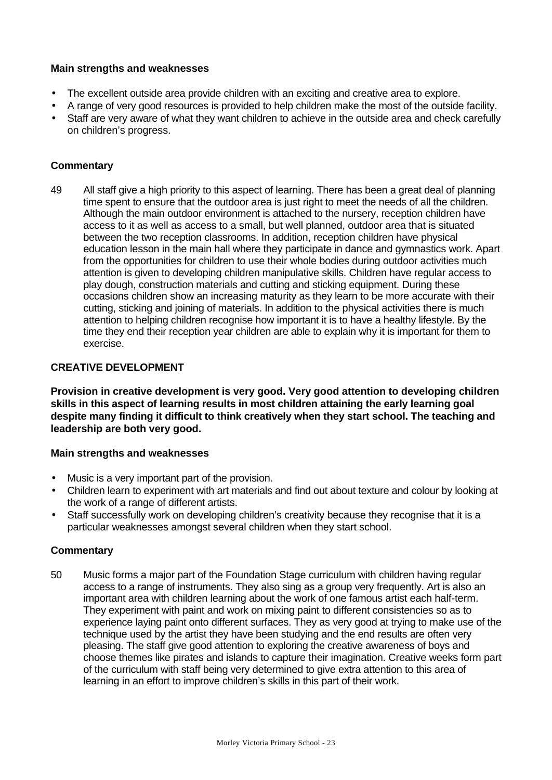## **Main strengths and weaknesses**

- The excellent outside area provide children with an exciting and creative area to explore.
- A range of very good resources is provided to help children make the most of the outside facility.
- Staff are very aware of what they want children to achieve in the outside area and check carefully on children's progress.

## **Commentary**

49 All staff give a high priority to this aspect of learning. There has been a great deal of planning time spent to ensure that the outdoor area is just right to meet the needs of all the children. Although the main outdoor environment is attached to the nursery, reception children have access to it as well as access to a small, but well planned, outdoor area that is situated between the two reception classrooms. In addition, reception children have physical education lesson in the main hall where they participate in dance and gymnastics work. Apart from the opportunities for children to use their whole bodies during outdoor activities much attention is given to developing children manipulative skills. Children have regular access to play dough, construction materials and cutting and sticking equipment. During these occasions children show an increasing maturity as they learn to be more accurate with their cutting, sticking and joining of materials. In addition to the physical activities there is much attention to helping children recognise how important it is to have a healthy lifestyle. By the time they end their reception year children are able to explain why it is important for them to exercise.

## **CREATIVE DEVELOPMENT**

**Provision in creative development is very good. Very good attention to developing children skills in this aspect of learning results in most children attaining the early learning goal despite many finding it difficult to think creatively when they start school. The teaching and leadership are both very good.**

### **Main strengths and weaknesses**

- Music is a very important part of the provision.
- Children learn to experiment with art materials and find out about texture and colour by looking at the work of a range of different artists.
- Staff successfully work on developing children's creativity because they recognise that it is a particular weaknesses amongst several children when they start school.

### **Commentary**

50 Music forms a major part of the Foundation Stage curriculum with children having regular access to a range of instruments. They also sing as a group very frequently. Art is also an important area with children learning about the work of one famous artist each half-term. They experiment with paint and work on mixing paint to different consistencies so as to experience laying paint onto different surfaces. They as very good at trying to make use of the technique used by the artist they have been studying and the end results are often very pleasing. The staff give good attention to exploring the creative awareness of boys and choose themes like pirates and islands to capture their imagination. Creative weeks form part of the curriculum with staff being very determined to give extra attention to this area of learning in an effort to improve children's skills in this part of their work.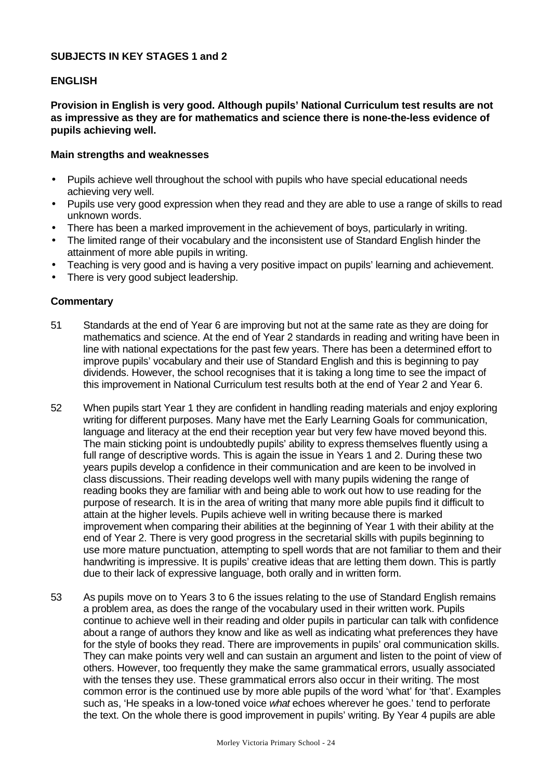### **SUBJECTS IN KEY STAGES 1 and 2**

#### **ENGLISH**

**Provision in English is very good. Although pupils' National Curriculum test results are not as impressive as they are for mathematics and science there is none-the-less evidence of pupils achieving well.**

#### **Main strengths and weaknesses**

- Pupils achieve well throughout the school with pupils who have special educational needs achieving very well.
- Pupils use very good expression when they read and they are able to use a range of skills to read unknown words.
- There has been a marked improvement in the achievement of boys, particularly in writing.
- The limited range of their vocabulary and the inconsistent use of Standard English hinder the attainment of more able pupils in writing.
- Teaching is very good and is having a very positive impact on pupils' learning and achievement.
- There is very good subject leadership.

- 51 Standards at the end of Year 6 are improving but not at the same rate as they are doing for mathematics and science. At the end of Year 2 standards in reading and writing have been in line with national expectations for the past few years. There has been a determined effort to improve pupils' vocabulary and their use of Standard English and this is beginning to pay dividends. However, the school recognises that it is taking a long time to see the impact of this improvement in National Curriculum test results both at the end of Year 2 and Year 6.
- 52 When pupils start Year 1 they are confident in handling reading materials and enjoy exploring writing for different purposes. Many have met the Early Learning Goals for communication, language and literacy at the end their reception year but very few have moved beyond this. The main sticking point is undoubtedly pupils' ability to express themselves fluently using a full range of descriptive words. This is again the issue in Years 1 and 2. During these two years pupils develop a confidence in their communication and are keen to be involved in class discussions. Their reading develops well with many pupils widening the range of reading books they are familiar with and being able to work out how to use reading for the purpose of research. It is in the area of writing that many more able pupils find it difficult to attain at the higher levels. Pupils achieve well in writing because there is marked improvement when comparing their abilities at the beginning of Year 1 with their ability at the end of Year 2. There is very good progress in the secretarial skills with pupils beginning to use more mature punctuation, attempting to spell words that are not familiar to them and their handwriting is impressive. It is pupils' creative ideas that are letting them down. This is partly due to their lack of expressive language, both orally and in written form.
- 53 As pupils move on to Years 3 to 6 the issues relating to the use of Standard English remains a problem area, as does the range of the vocabulary used in their written work. Pupils continue to achieve well in their reading and older pupils in particular can talk with confidence about a range of authors they know and like as well as indicating what preferences they have for the style of books they read. There are improvements in pupils' oral communication skills. They can make points very well and can sustain an argument and listen to the point of view of others. However, too frequently they make the same grammatical errors, usually associated with the tenses they use. These grammatical errors also occur in their writing. The most common error is the continued use by more able pupils of the word 'what' for 'that'. Examples such as, 'He speaks in a low-toned voice *what* echoes wherever he goes.' tend to perforate the text. On the whole there is good improvement in pupils' writing. By Year 4 pupils are able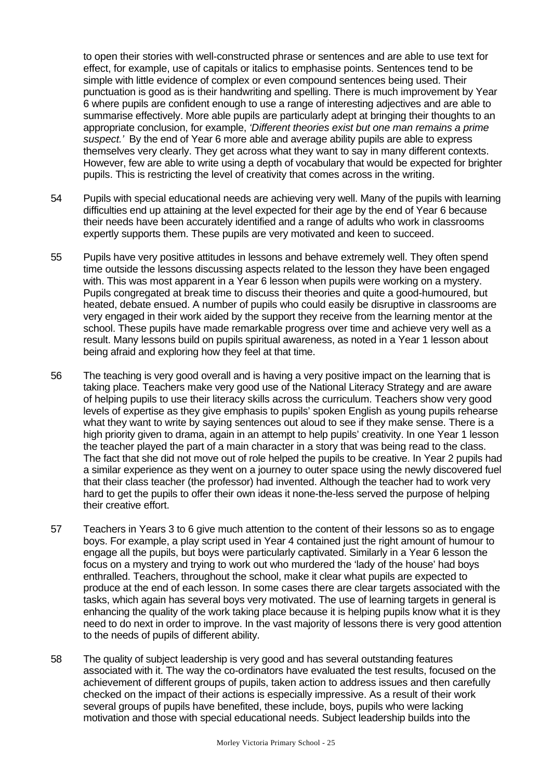to open their stories with well-constructed phrase or sentences and are able to use text for effect, for example, use of capitals or italics to emphasise points. Sentences tend to be simple with little evidence of complex or even compound sentences being used. Their punctuation is good as is their handwriting and spelling. There is much improvement by Year 6 where pupils are confident enough to use a range of interesting adjectives and are able to summarise effectively. More able pupils are particularly adept at bringing their thoughts to an appropriate conclusion, for example, *'Different theories exist but one man remains a prime suspect.'* By the end of Year 6 more able and average ability pupils are able to express themselves very clearly. They get across what they want to say in many different contexts. However, few are able to write using a depth of vocabulary that would be expected for brighter pupils. This is restricting the level of creativity that comes across in the writing.

- 54 Pupils with special educational needs are achieving very well. Many of the pupils with learning difficulties end up attaining at the level expected for their age by the end of Year 6 because their needs have been accurately identified and a range of adults who work in classrooms expertly supports them. These pupils are very motivated and keen to succeed.
- 55 Pupils have very positive attitudes in lessons and behave extremely well. They often spend time outside the lessons discussing aspects related to the lesson they have been engaged with. This was most apparent in a Year 6 lesson when pupils were working on a mystery. Pupils congregated at break time to discuss their theories and quite a good-humoured, but heated, debate ensued. A number of pupils who could easily be disruptive in classrooms are very engaged in their work aided by the support they receive from the learning mentor at the school. These pupils have made remarkable progress over time and achieve very well as a result. Many lessons build on pupils spiritual awareness, as noted in a Year 1 lesson about being afraid and exploring how they feel at that time.
- 56 The teaching is very good overall and is having a very positive impact on the learning that is taking place. Teachers make very good use of the National Literacy Strategy and are aware of helping pupils to use their literacy skills across the curriculum. Teachers show very good levels of expertise as they give emphasis to pupils' spoken English as young pupils rehearse what they want to write by saying sentences out aloud to see if they make sense. There is a high priority given to drama, again in an attempt to help pupils' creativity. In one Year 1 lesson the teacher played the part of a main character in a story that was being read to the class. The fact that she did not move out of role helped the pupils to be creative. In Year 2 pupils had a similar experience as they went on a journey to outer space using the newly discovered fuel that their class teacher (the professor) had invented. Although the teacher had to work very hard to get the pupils to offer their own ideas it none-the-less served the purpose of helping their creative effort.
- 57 Teachers in Years 3 to 6 give much attention to the content of their lessons so as to engage boys. For example, a play script used in Year 4 contained just the right amount of humour to engage all the pupils, but boys were particularly captivated. Similarly in a Year 6 lesson the focus on a mystery and trying to work out who murdered the 'lady of the house' had boys enthralled. Teachers, throughout the school, make it clear what pupils are expected to produce at the end of each lesson. In some cases there are clear targets associated with the tasks, which again has several boys very motivated. The use of learning targets in general is enhancing the quality of the work taking place because it is helping pupils know what it is they need to do next in order to improve. In the vast majority of lessons there is very good attention to the needs of pupils of different ability.
- 58 The quality of subject leadership is very good and has several outstanding features associated with it. The way the co-ordinators have evaluated the test results, focused on the achievement of different groups of pupils, taken action to address issues and then carefully checked on the impact of their actions is especially impressive. As a result of their work several groups of pupils have benefited, these include, boys, pupils who were lacking motivation and those with special educational needs. Subject leadership builds into the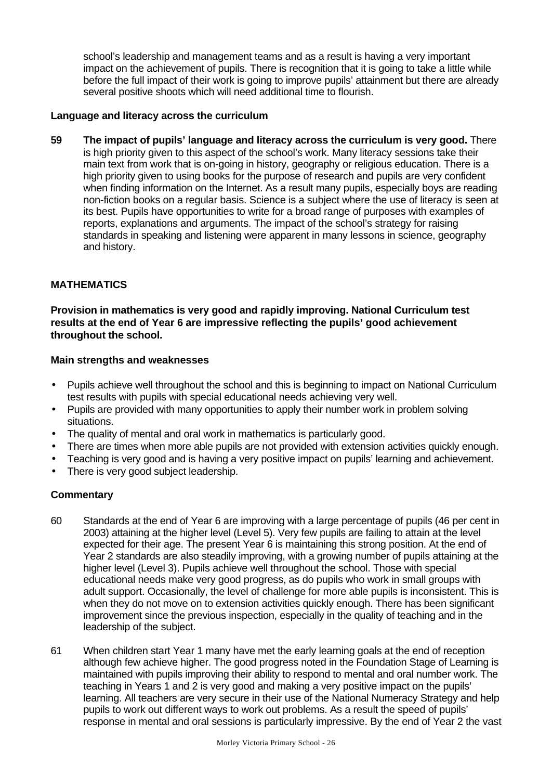school's leadership and management teams and as a result is having a very important impact on the achievement of pupils. There is recognition that it is going to take a little while before the full impact of their work is going to improve pupils' attainment but there are already several positive shoots which will need additional time to flourish.

## **Language and literacy across the curriculum**

**59 The impact of pupils' language and literacy across the curriculum is very good.** There is high priority given to this aspect of the school's work. Many literacy sessions take their main text from work that is on-going in history, geography or religious education. There is a high priority given to using books for the purpose of research and pupils are very confident when finding information on the Internet. As a result many pupils, especially boys are reading non-fiction books on a regular basis. Science is a subject where the use of literacy is seen at its best. Pupils have opportunities to write for a broad range of purposes with examples of reports, explanations and arguments. The impact of the school's strategy for raising standards in speaking and listening were apparent in many lessons in science, geography and history.

# **MATHEMATICS**

**Provision in mathematics is very good and rapidly improving. National Curriculum test results at the end of Year 6 are impressive reflecting the pupils' good achievement throughout the school.**

### **Main strengths and weaknesses**

- Pupils achieve well throughout the school and this is beginning to impact on National Curriculum test results with pupils with special educational needs achieving very well.
- Pupils are provided with many opportunities to apply their number work in problem solving situations.
- The quality of mental and oral work in mathematics is particularly good.
- There are times when more able pupils are not provided with extension activities quickly enough.
- Teaching is very good and is having a very positive impact on pupils' learning and achievement.
- There is very good subject leadership.

- 60 Standards at the end of Year 6 are improving with a large percentage of pupils (46 per cent in 2003) attaining at the higher level (Level 5). Very few pupils are failing to attain at the level expected for their age. The present Year 6 is maintaining this strong position. At the end of Year 2 standards are also steadily improving, with a growing number of pupils attaining at the higher level (Level 3). Pupils achieve well throughout the school. Those with special educational needs make very good progress, as do pupils who work in small groups with adult support. Occasionally, the level of challenge for more able pupils is inconsistent. This is when they do not move on to extension activities quickly enough. There has been significant improvement since the previous inspection, especially in the quality of teaching and in the leadership of the subject.
- 61 When children start Year 1 many have met the early learning goals at the end of reception although few achieve higher. The good progress noted in the Foundation Stage of Learning is maintained with pupils improving their ability to respond to mental and oral number work. The teaching in Years 1 and 2 is very good and making a very positive impact on the pupils' learning. All teachers are very secure in their use of the National Numeracy Strategy and help pupils to work out different ways to work out problems. As a result the speed of pupils' response in mental and oral sessions is particularly impressive. By the end of Year 2 the vast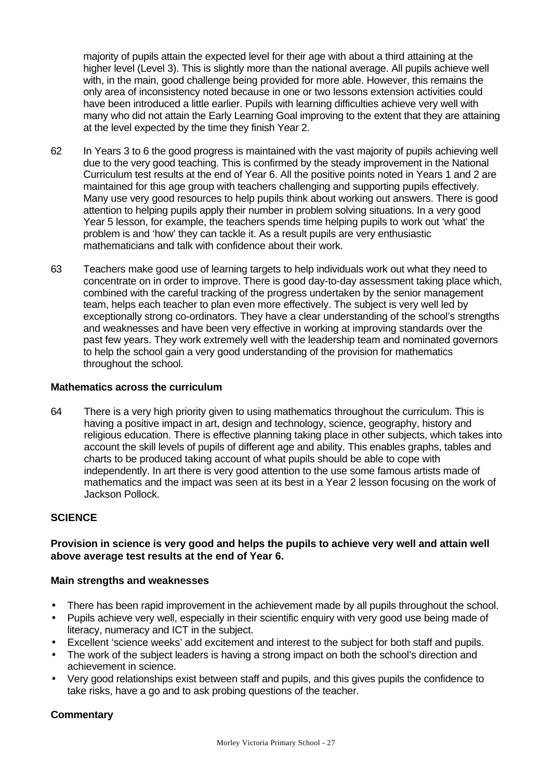majority of pupils attain the expected level for their age with about a third attaining at the higher level (Level 3). This is slightly more than the national average. All pupils achieve well with, in the main, good challenge being provided for more able. However, this remains the only area of inconsistency noted because in one or two lessons extension activities could have been introduced a little earlier. Pupils with learning difficulties achieve very well with many who did not attain the Early Learning Goal improving to the extent that they are attaining at the level expected by the time they finish Year 2.

- 62 In Years 3 to 6 the good progress is maintained with the vast majority of pupils achieving well due to the very good teaching. This is confirmed by the steady improvement in the National Curriculum test results at the end of Year 6. All the positive points noted in Years 1 and 2 are maintained for this age group with teachers challenging and supporting pupils effectively. Many use very good resources to help pupils think about working out answers. There is good attention to helping pupils apply their number in problem solving situations. In a very good Year 5 lesson, for example, the teachers spends time helping pupils to work out 'what' the problem is and 'how' they can tackle it. As a result pupils are very enthusiastic mathematicians and talk with confidence about their work.
- 63 Teachers make good use of learning targets to help individuals work out what they need to concentrate on in order to improve. There is good day-to-day assessment taking place which, combined with the careful tracking of the progress undertaken by the senior management team, helps each teacher to plan even more effectively. The subject is very well led by exceptionally strong co-ordinators. They have a clear understanding of the school's strengths and weaknesses and have been very effective in working at improving standards over the past few years. They work extremely well with the leadership team and nominated governors to help the school gain a very good understanding of the provision for mathematics throughout the school.

#### **Mathematics across the curriculum**

64 There is a very high priority given to using mathematics throughout the curriculum. This is having a positive impact in art, design and technology, science, geography, history and religious education. There is effective planning taking place in other subjects, which takes into account the skill levels of pupils of different age and ability. This enables graphs, tables and charts to be produced taking account of what pupils should be able to cope with independently. In art there is very good attention to the use some famous artists made of mathematics and the impact was seen at its best in a Year 2 lesson focusing on the work of Jackson Pollock.

### **SCIENCE**

### **Provision in science is very good and helps the pupils to achieve very well and attain well above average test results at the end of Year 6.**

#### **Main strengths and weaknesses**

- There has been rapid improvement in the achievement made by all pupils throughout the school.
- Pupils achieve very well, especially in their scientific enquiry with very good use being made of literacy, numeracy and ICT in the subject.
- Excellent 'science weeks' add excitement and interest to the subject for both staff and pupils.
- The work of the subject leaders is having a strong impact on both the school's direction and achievement in science.
- Very good relationships exist between staff and pupils, and this gives pupils the confidence to take risks, have a go and to ask probing questions of the teacher.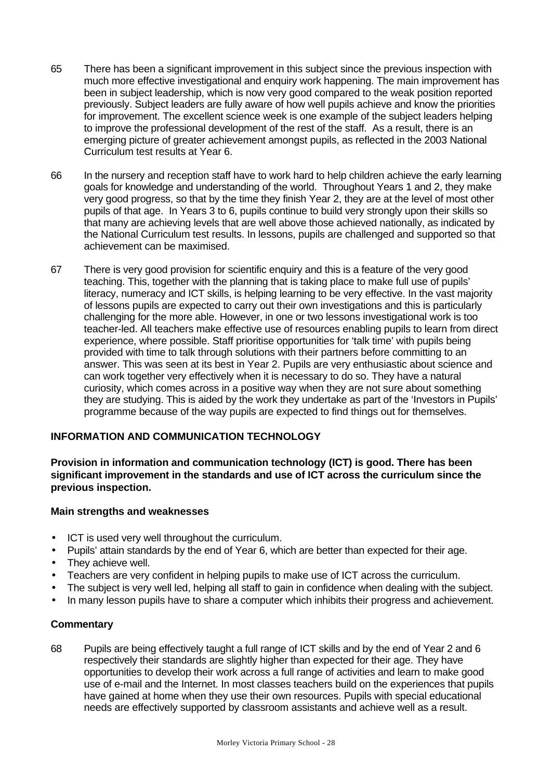- 65 There has been a significant improvement in this subject since the previous inspection with much more effective investigational and enquiry work happening. The main improvement has been in subject leadership, which is now very good compared to the weak position reported previously. Subject leaders are fully aware of how well pupils achieve and know the priorities for improvement. The excellent science week is one example of the subject leaders helping to improve the professional development of the rest of the staff. As a result, there is an emerging picture of greater achievement amongst pupils, as reflected in the 2003 National Curriculum test results at Year 6.
- 66 In the nursery and reception staff have to work hard to help children achieve the early learning goals for knowledge and understanding of the world. Throughout Years 1 and 2, they make very good progress, so that by the time they finish Year 2, they are at the level of most other pupils of that age. In Years 3 to 6, pupils continue to build very strongly upon their skills so that many are achieving levels that are well above those achieved nationally, as indicated by the National Curriculum test results. In lessons, pupils are challenged and supported so that achievement can be maximised.
- 67 There is very good provision for scientific enquiry and this is a feature of the very good teaching. This, together with the planning that is taking place to make full use of pupils' literacy, numeracy and ICT skills, is helping learning to be very effective. In the vast majority of lessons pupils are expected to carry out their own investigations and this is particularly challenging for the more able. However, in one or two lessons investigational work is too teacher-led. All teachers make effective use of resources enabling pupils to learn from direct experience, where possible. Staff prioritise opportunities for 'talk time' with pupils being provided with time to talk through solutions with their partners before committing to an answer. This was seen at its best in Year 2. Pupils are very enthusiastic about science and can work together very effectively when it is necessary to do so. They have a natural curiosity, which comes across in a positive way when they are not sure about something they are studying. This is aided by the work they undertake as part of the 'Investors in Pupils' programme because of the way pupils are expected to find things out for themselves.

# **INFORMATION AND COMMUNICATION TECHNOLOGY**

**Provision in information and communication technology (ICT) is good. There has been significant improvement in the standards and use of ICT across the curriculum since the previous inspection.**

### **Main strengths and weaknesses**

- ICT is used very well throughout the curriculum.
- Pupils' attain standards by the end of Year 6, which are better than expected for their age.
- They achieve well.
- Teachers are very confident in helping pupils to make use of ICT across the curriculum.
- The subject is very well led, helping all staff to gain in confidence when dealing with the subject.
- In many lesson pupils have to share a computer which inhibits their progress and achievement.

#### **Commentary**

68 Pupils are being effectively taught a full range of ICT skills and by the end of Year 2 and 6 respectively their standards are slightly higher than expected for their age. They have opportunities to develop their work across a full range of activities and learn to make good use of e-mail and the Internet. In most classes teachers build on the experiences that pupils have gained at home when they use their own resources. Pupils with special educational needs are effectively supported by classroom assistants and achieve well as a result.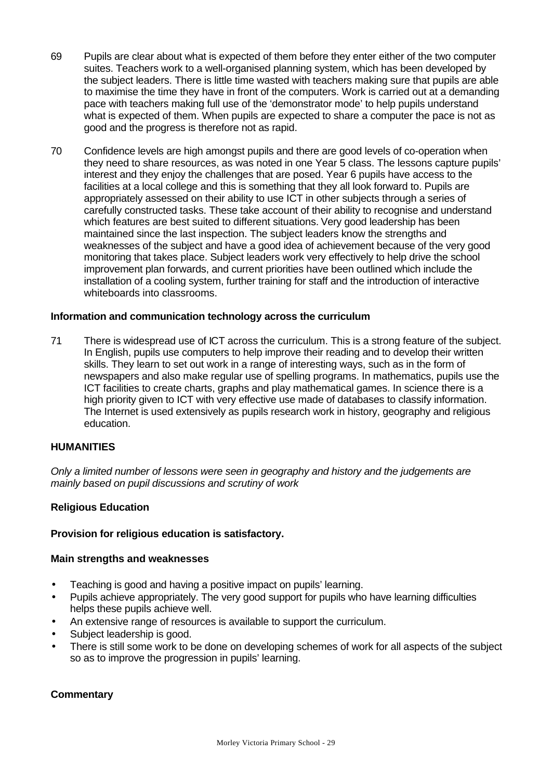- 69 Pupils are clear about what is expected of them before they enter either of the two computer suites. Teachers work to a well-organised planning system, which has been developed by the subject leaders. There is little time wasted with teachers making sure that pupils are able to maximise the time they have in front of the computers. Work is carried out at a demanding pace with teachers making full use of the 'demonstrator mode' to help pupils understand what is expected of them. When pupils are expected to share a computer the pace is not as good and the progress is therefore not as rapid.
- 70 Confidence levels are high amongst pupils and there are good levels of co-operation when they need to share resources, as was noted in one Year 5 class. The lessons capture pupils' interest and they enjoy the challenges that are posed. Year 6 pupils have access to the facilities at a local college and this is something that they all look forward to. Pupils are appropriately assessed on their ability to use ICT in other subjects through a series of carefully constructed tasks. These take account of their ability to recognise and understand which features are best suited to different situations. Very good leadership has been maintained since the last inspection. The subject leaders know the strengths and weaknesses of the subject and have a good idea of achievement because of the very good monitoring that takes place. Subject leaders work very effectively to help drive the school improvement plan forwards, and current priorities have been outlined which include the installation of a cooling system, further training for staff and the introduction of interactive whiteboards into classrooms.

#### **Information and communication technology across the curriculum**

71 There is widespread use of ICT across the curriculum. This is a strong feature of the subject. In English, pupils use computers to help improve their reading and to develop their written skills. They learn to set out work in a range of interesting ways, such as in the form of newspapers and also make regular use of spelling programs. In mathematics, pupils use the ICT facilities to create charts, graphs and play mathematical games. In science there is a high priority given to ICT with very effective use made of databases to classify information. The Internet is used extensively as pupils research work in history, geography and religious education.

#### **HUMANITIES**

*Only a limited number of lessons were seen in geography and history and the judgements are mainly based on pupil discussions and scrutiny of work*

#### **Religious Education**

### **Provision for religious education is satisfactory.**

#### **Main strengths and weaknesses**

- Teaching is good and having a positive impact on pupils' learning.
- Pupils achieve appropriately. The very good support for pupils who have learning difficulties helps these pupils achieve well.
- An extensive range of resources is available to support the curriculum.
- Subject leadership is good.
- There is still some work to be done on developing schemes of work for all aspects of the subject so as to improve the progression in pupils' learning.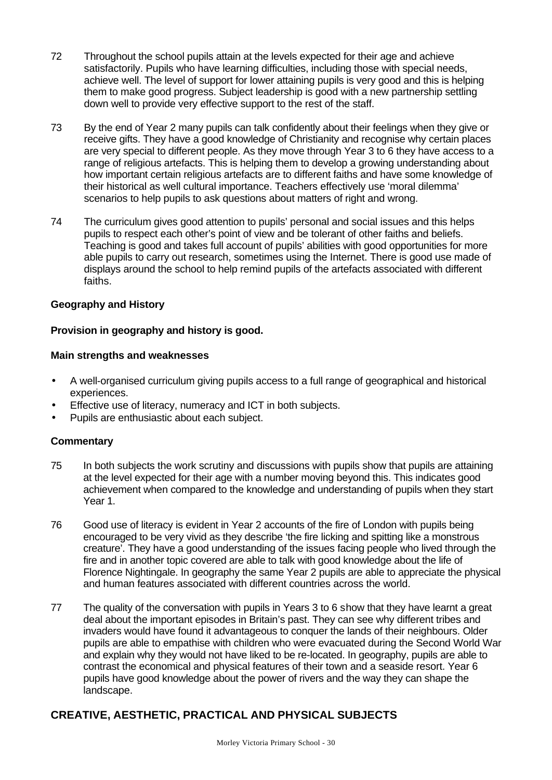- 72 Throughout the school pupils attain at the levels expected for their age and achieve satisfactorily. Pupils who have learning difficulties, including those with special needs, achieve well. The level of support for lower attaining pupils is very good and this is helping them to make good progress. Subject leadership is good with a new partnership settling down well to provide very effective support to the rest of the staff.
- 73 By the end of Year 2 many pupils can talk confidently about their feelings when they give or receive gifts. They have a good knowledge of Christianity and recognise why certain places are very special to different people. As they move through Year 3 to 6 they have access to a range of religious artefacts. This is helping them to develop a growing understanding about how important certain religious artefacts are to different faiths and have some knowledge of their historical as well cultural importance. Teachers effectively use 'moral dilemma' scenarios to help pupils to ask questions about matters of right and wrong.
- 74 The curriculum gives good attention to pupils' personal and social issues and this helps pupils to respect each other's point of view and be tolerant of other faiths and beliefs. Teaching is good and takes full account of pupils' abilities with good opportunities for more able pupils to carry out research, sometimes using the Internet. There is good use made of displays around the school to help remind pupils of the artefacts associated with different faiths.

## **Geography and History**

### **Provision in geography and history is good.**

#### **Main strengths and weaknesses**

- A well-organised curriculum giving pupils access to a full range of geographical and historical experiences.
- Effective use of literacy, numeracy and ICT in both subjects.
- Pupils are enthusiastic about each subject.

### **Commentary**

- 75 In both subjects the work scrutiny and discussions with pupils show that pupils are attaining at the level expected for their age with a number moving beyond this. This indicates good achievement when compared to the knowledge and understanding of pupils when they start Year 1.
- 76 Good use of literacy is evident in Year 2 accounts of the fire of London with pupils being encouraged to be very vivid as they describe 'the fire licking and spitting like a monstrous creature'. They have a good understanding of the issues facing people who lived through the fire and in another topic covered are able to talk with good knowledge about the life of Florence Nightingale. In geography the same Year 2 pupils are able to appreciate the physical and human features associated with different countries across the world.
- 77 The quality of the conversation with pupils in Years 3 to 6 show that they have learnt a great deal about the important episodes in Britain's past. They can see why different tribes and invaders would have found it advantageous to conquer the lands of their neighbours. Older pupils are able to empathise with children who were evacuated during the Second World War and explain why they would not have liked to be re-located. In geography, pupils are able to contrast the economical and physical features of their town and a seaside resort. Year 6 pupils have good knowledge about the power of rivers and the way they can shape the landscape.

# **CREATIVE, AESTHETIC, PRACTICAL AND PHYSICAL SUBJECTS**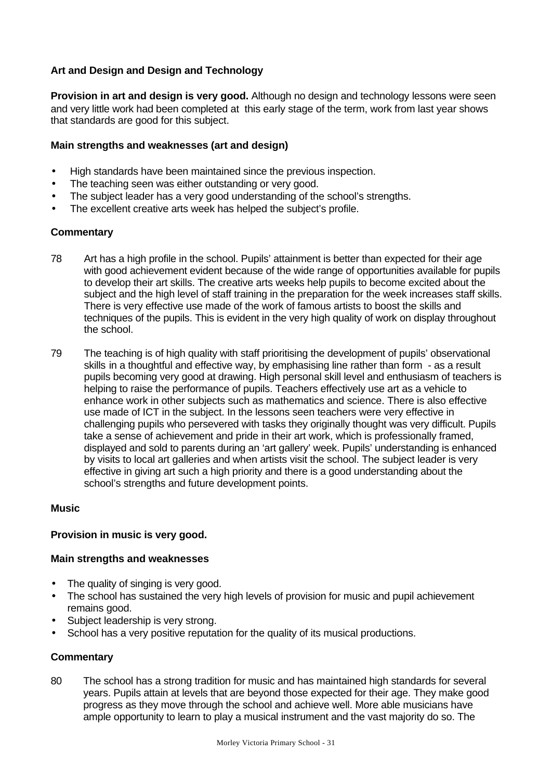## **Art and Design and Design and Technology**

**Provision in art and design is very good.** Although no design and technology lessons were seen and very little work had been completed at this early stage of the term, work from last year shows that standards are good for this subject.

### **Main strengths and weaknesses (art and design)**

- High standards have been maintained since the previous inspection.
- The teaching seen was either outstanding or very good.
- The subject leader has a very good understanding of the school's strengths.
- The excellent creative arts week has helped the subject's profile.

### **Commentary**

- 78 Art has a high profile in the school. Pupils' attainment is better than expected for their age with good achievement evident because of the wide range of opportunities available for pupils to develop their art skills. The creative arts weeks help pupils to become excited about the subject and the high level of staff training in the preparation for the week increases staff skills. There is very effective use made of the work of famous artists to boost the skills and techniques of the pupils. This is evident in the very high quality of work on display throughout the school.
- 79 The teaching is of high quality with staff prioritising the development of pupils' observational skills in a thoughtful and effective way, by emphasising line rather than form - as a result pupils becoming very good at drawing. High personal skill level and enthusiasm of teachers is helping to raise the performance of pupils. Teachers effectively use art as a vehicle to enhance work in other subjects such as mathematics and science. There is also effective use made of ICT in the subject. In the lessons seen teachers were very effective in challenging pupils who persevered with tasks they originally thought was very difficult. Pupils take a sense of achievement and pride in their art work, which is professionally framed, displayed and sold to parents during an 'art gallery' week. Pupils' understanding is enhanced by visits to local art galleries and when artists visit the school. The subject leader is very effective in giving art such a high priority and there is a good understanding about the school's strengths and future development points.

#### **Music**

### **Provision in music is very good.**

#### **Main strengths and weaknesses**

- The quality of singing is very good.
- The school has sustained the very high levels of provision for music and pupil achievement remains good.
- Subject leadership is very strong.
- School has a very positive reputation for the quality of its musical productions.

### **Commentary**

80 The school has a strong tradition for music and has maintained high standards for several years. Pupils attain at levels that are beyond those expected for their age. They make good progress as they move through the school and achieve well. More able musicians have ample opportunity to learn to play a musical instrument and the vast majority do so. The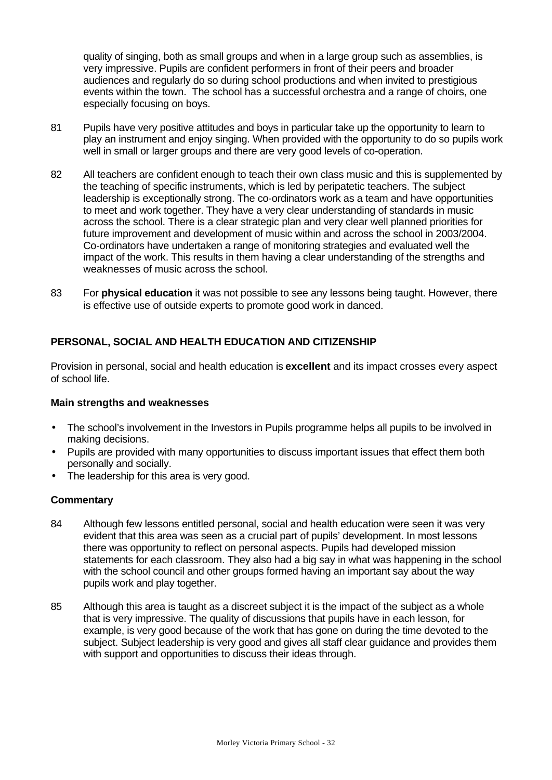quality of singing, both as small groups and when in a large group such as assemblies, is very impressive. Pupils are confident performers in front of their peers and broader audiences and regularly do so during school productions and when invited to prestigious events within the town. The school has a successful orchestra and a range of choirs, one especially focusing on boys.

- 81 Pupils have very positive attitudes and boys in particular take up the opportunity to learn to play an instrument and enjoy singing. When provided with the opportunity to do so pupils work well in small or larger groups and there are very good levels of co-operation.
- 82 All teachers are confident enough to teach their own class music and this is supplemented by the teaching of specific instruments, which is led by peripatetic teachers. The subject leadership is exceptionally strong. The co-ordinators work as a team and have opportunities to meet and work together. They have a very clear understanding of standards in music across the school. There is a clear strategic plan and very clear well planned priorities for future improvement and development of music within and across the school in 2003/2004. Co-ordinators have undertaken a range of monitoring strategies and evaluated well the impact of the work. This results in them having a clear understanding of the strengths and weaknesses of music across the school.
- 83 For **physical education** it was not possible to see any lessons being taught. However, there is effective use of outside experts to promote good work in danced.

# **PERSONAL, SOCIAL AND HEALTH EDUCATION AND CITIZENSHIP**

Provision in personal, social and health education is **excellent** and its impact crosses every aspect of school life.

### **Main strengths and weaknesses**

- The school's involvement in the Investors in Pupils programme helps all pupils to be involved in making decisions.
- Pupils are provided with many opportunities to discuss important issues that effect them both personally and socially.
- The leadership for this area is very good.

- 84 Although few lessons entitled personal, social and health education were seen it was very evident that this area was seen as a crucial part of pupils' development. In most lessons there was opportunity to reflect on personal aspects. Pupils had developed mission statements for each classroom. They also had a big say in what was happening in the school with the school council and other groups formed having an important say about the way pupils work and play together.
- 85 Although this area is taught as a discreet subject it is the impact of the subject as a whole that is very impressive. The quality of discussions that pupils have in each lesson, for example, is very good because of the work that has gone on during the time devoted to the subject. Subject leadership is very good and gives all staff clear guidance and provides them with support and opportunities to discuss their ideas through.